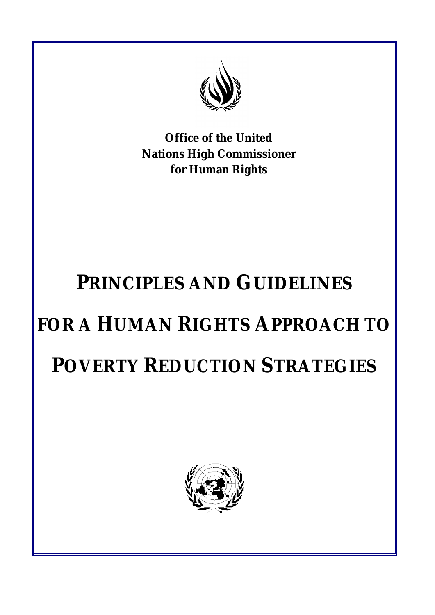

**Office of the United Nations High Commissioner for Human Rights**

## **PRINCIPLES AND GUIDELINES**

# **FOR A HUMAN RIGHTS APPROACH TO**

## **POVERTY REDUCTION STRATEGIES**

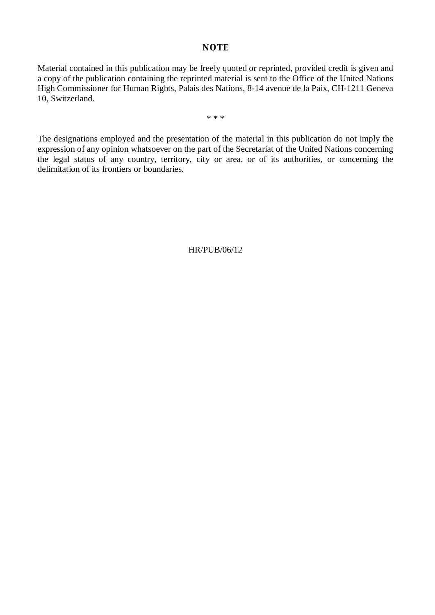#### **NOTE**

Material contained in this publication may be freely quoted or reprinted, provided credit is given and a copy of the publication containing the reprinted material is sent to the Office of the United Nations High Commissioner for Human Rights, Palais des Nations, 8-14 avenue de la Paix, CH-1211 Geneva 10, Switzerland.

\* \* \*

The designations employed and the presentation of the material in this publication do not imply the expression of any opinion whatsoever on the part of the Secretariat of the United Nations concerning the legal status of any country, territory, city or area, or of its authorities, or concerning the delimitation of its frontiers or boundaries.

HR/PUB/06/12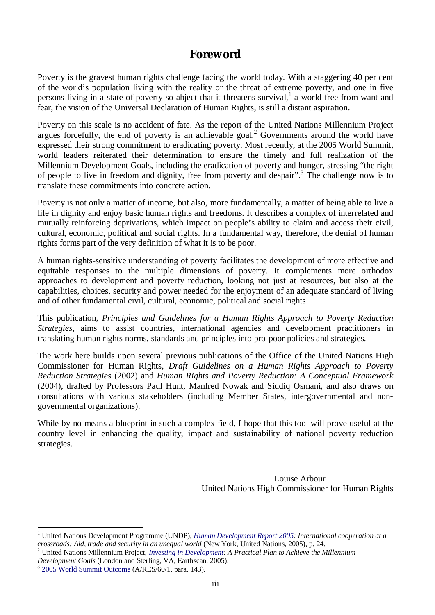## **Foreword**

Poverty is the gravest human rights challenge facing the world today. With a staggering 40 per cent of the world's population living with the reality or the threat of extreme poverty, and one in five persons living in a state of poverty so abject that it threatens survival,<sup>1</sup> a world free from want and fear, the vision of the Universal Declaration of Human Rights, is still a distant aspiration.

Poverty on this scale is no accident of fate. As the report of the United Nations Millennium Project argues forcefully, the end of poverty is an achievable goal.<sup>2</sup> Governments around the world have expressed their strong commitment to eradicating poverty. Most recently, at the 2005 World Summit, world leaders reiterated their determination to ensure the timely and full realization of the Millennium Development Goals, including the eradication of poverty and hunger, stressing "the right of people to live in freedom and dignity, free from poverty and despair".<sup>3</sup> The challenge now is to translate these commitments into concrete action.

Poverty is not only a matter of income, but also, more fundamentally, a matter of being able to live a life in dignity and enjoy basic human rights and freedoms. It describes a complex of interrelated and mutually reinforcing deprivations, which impact on people's ability to claim and access their civil, cultural, economic, political and social rights. In a fundamental way, therefore, the denial of human rights forms part of the very definition of what it is to be poor.

A human rights-sensitive understanding of poverty facilitates the development of more effective and equitable responses to the multiple dimensions of poverty. It complements more orthodox approaches to development and poverty reduction, looking not just at resources, but also at the capabilities, choices, security and power needed for the enjoyment of an adequate standard of living and of other fundamental civil, cultural, economic, political and social rights.

This publication, *Principles and Guidelines for a Human Rights Approach to Poverty Reduction Strategies,* aims to assist countries, international agencies and development practitioners in translating human rights norms, standards and principles into pro-poor policies and strategies.

The work here builds upon several previous publications of the Office of the United Nations High Commissioner for Human Rights, *Draft Guidelines on a Human Rights Approach to Poverty Reduction Strategies* (2002) and *Human Rights and Poverty Reduction: A Conceptual Framework* (2004), drafted by Professors Paul Hunt, Manfred Nowak and Siddiq Osmani, and also draws on consultations with various stakeholders (including Member States, intergovernmental and nongovernmental organizations).

While by no means a blueprint in such a complex field, I hope that this tool will prove useful at the country level in enhancing the quality, impact and sustainability of national poverty reduction strategies.

> Louise Arbour United Nations High Commissioner for Human Rights

<sup>1</sup> United Nations Development Programme (UNDP), *Human Development Report 2005: International cooperation at a*

*crossroads: Aid, trade and security in an unequal world* (New York, United Nations, 2005), p. 24. 2 United Nations Millennium Project, *Investing in Development: A Practical Plan to Achieve the Millennium Development Goals* (London and Sterling, VA, Earthscan, 2005).

<sup>&</sup>lt;sup>3</sup> 2005 World Summit Outcome (A/RES/60/1, para. 143).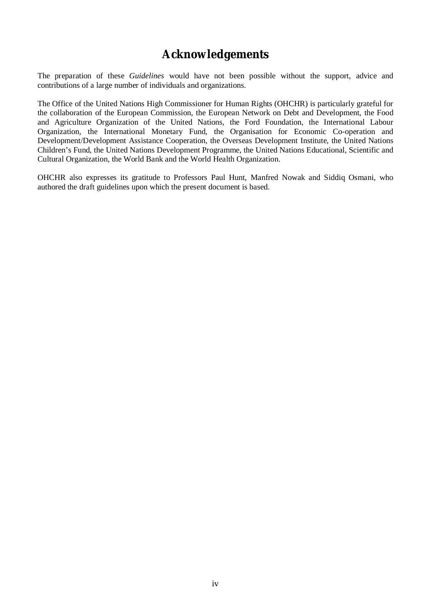## **Acknowledgements**

The preparation of these *Guidelines* would have not been possible without the support, advice and contributions of a large number of individuals and organizations.

The Office of the United Nations High Commissioner for Human Rights (OHCHR) is particularly grateful for the collaboration of the European Commission, the European Network on Debt and Development, the Food and Agriculture Organization of the United Nations, the Ford Foundation, the International Labour Organization, the International Monetary Fund, the Organisation for Economic Co-operation and Development/Development Assistance Cooperation, the Overseas Development Institute, the United Nations Children's Fund, the United Nations Development Programme, the United Nations Educational, Scientific and Cultural Organization, the World Bank and the World Health Organization.

OHCHR also expresses its gratitude to Professors Paul Hunt, Manfred Nowak and Siddiq Osmani, who authored the draft guidelines upon which the present document is based.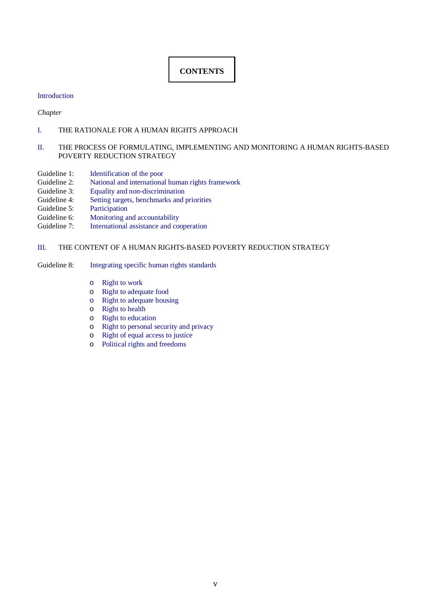## **CONTENTS**

#### Introduction

*Chapter*

#### I. THE RATIONALE FOR A HUMAN RIGHTS APPROACH

#### II. THE PROCESS OF FORMULATING, IMPLEMENTING AND MONITORING A HUMAN RIGHTS-BASED POVERTY REDUCTION STRATEGY

- Guideline 1: Identification of the poor<br>Guideline 2: National and international
- National and international human rights framework
- Guideline 3: Equality and non-discrimination<br>Guideline 4: Setting targets, benchmarks and
- Guideline 4: Setting targets, benchmarks and priorities<br>Guideline 5: Participation
- Participation
- Guideline 6: Monitoring and accountability
- Guideline 7: International assistance and cooperation

#### III. THE CONTENT OF A HUMAN RIGHTS-BASED POVERTY REDUCTION STRATEGY

- Guideline 8: Integrating specific human rights standards
	- o Right to work
	- o Right to adequate food
	- o Right to adequate housing
	- o Right to health
	- o Right to education
	- o Right to personal security and privacy
	- o Right of equal access to justice
	- o Political rights and freedoms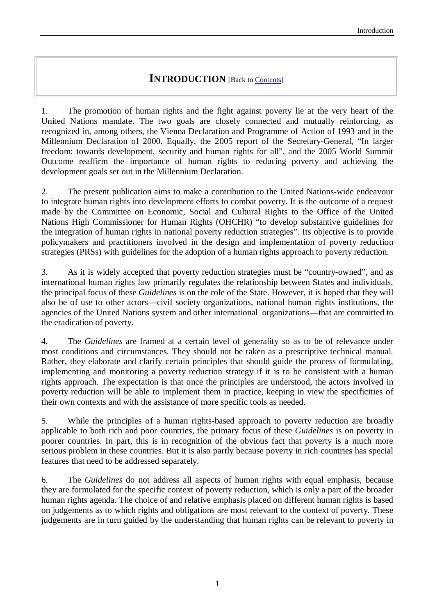## **INTRODUCTION** [Back to Contents]

1. The promotion of human rights and the fight against poverty lie at the very heart of the United Nations mandate. The two goals are closely connected and mutually reinforcing, as recognized in, among others, the Vienna Declaration and Programme of Action of 1993 and in the Millennium Declaration of 2000. Equally, the 2005 report of the Secretary-General, "In larger freedom: towards development, security and human rights for all", and the 2005 World Summit Outcome reaffirm the importance of human rights to reducing poverty and achieving the development goals set out in the Millennium Declaration.

2. The present publication aims to make a contribution to the United Nations-wide endeavour to integrate human rights into development efforts to combat poverty. It is the outcome of a request made by the Committee on Economic, Social and Cultural Rights to the Office of the United Nations High Commissioner for Human Rights (OHCHR) "to develop substantive guidelines for the integration of human rights in national poverty reduction strategies". Its objective is to provide policymakers and practitioners involved in the design and implementation of poverty reduction strategies (PRSs) with guidelines for the adoption of a human rights approach to poverty reduction.

3. As it is widely accepted that poverty reduction strategies must be "country-owned", and as international human rights law primarily regulates the relationship between States and individuals, the principal focus of these *Guidelines* is on the role of the State. However, it is hoped that they will also be of use to other actors—civil society organizations, national human rights institutions, the agencies of the United Nations system and other international organizations—that are committed to the eradication of poverty.

4. The *Guidelines* are framed at a certain level of generality so as to be of relevance under most conditions and circumstances. They should not be taken as a prescriptive technical manual. Rather, they elaborate and clarify certain principles that should guide the process of formulating, implementing and monitoring a poverty reduction strategy if it is to be consistent with a human rights approach. The expectation is that once the principles are understood, the actors involved in poverty reduction will be able to implement them in practice, keeping in view the specificities of their own contexts and with the assistance of more specific tools as needed.

5. While the principles of a human rights-based approach to poverty reduction are broadly applicable to both rich and poor countries, the primary focus of these *Guidelines* is on poverty in poorer countries. In part, this is in recognition of the obvious fact that poverty is a much more serious problem in these countries. But it is also partly because poverty in rich countries has special features that need to be addressed separately.

6. The *Guidelines* do not address all aspects of human rights with equal emphasis, because they are formulated for the specific context of poverty reduction, which is only a part of the broader human rights agenda. The choice of and relative emphasis placed on different human rights is based on judgements as to which rights and obligations are most relevant to the context of poverty. These judgements are in turn guided by the understanding that human rights can be relevant to poverty in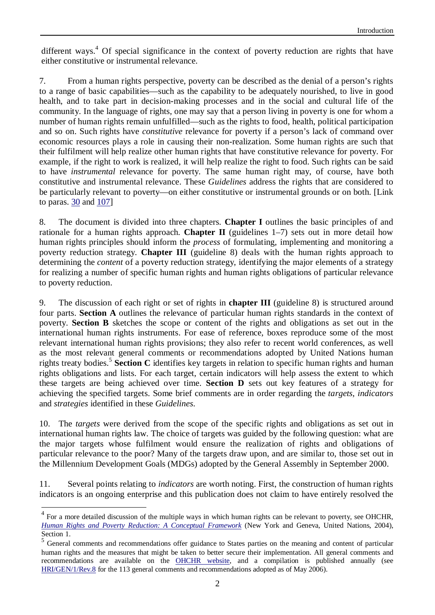different ways.<sup>4</sup> Of special significance in the context of poverty reduction are rights that have either constitutive or instrumental relevance.

7. From a human rights perspective, poverty can be described as the denial of a person's rights to a range of basic capabilities—such as the capability to be adequately nourished, to live in good health, and to take part in decision-making processes and in the social and cultural life of the community. In the language of rights, one may say that a person living in poverty is one for whom a number of human rights remain unfulfilled—such as the rights to food, health, political participation and so on. Such rights have *constitutive* relevance for poverty if a person's lack of command over economic resources plays a role in causing their non-realization. Some human rights are such that their fulfilment will help realize other human rights that have constitutive relevance for poverty. For example, if the right to work is realized, it will help realize the right to food. Such rights can be said to have *instrumental* relevance for poverty. The same human right may, of course, have both constitutive and instrumental relevance. These *Guidelines* address the rights that are considered to be particularly relevant to poverty—on either constitutive or instrumental grounds or on both. [Link to paras. 30 and 107]

8. The document is divided into three chapters. **Chapter I** outlines the basic principles of and rationale for a human rights approach. **Chapter II** (guidelines 1–7) sets out in more detail how human rights principles should inform the *process* of formulating, implementing and monitoring a poverty reduction strategy. **Chapter III** (guideline 8) deals with the human rights approach to determining the *content* of a poverty reduction strategy, identifying the major elements of a strategy for realizing a number of specific human rights and human rights obligations of particular relevance to poverty reduction.

9. The discussion of each right or set of rights in **chapter III** (guideline 8) is structured around four parts. **Section A** outlines the relevance of particular human rights standards in the context of poverty. **Section B** sketches the scope or content of the rights and obligations as set out in the international human rights instruments. For ease of reference, boxes reproduce some of the most relevant international human rights provisions; they also refer to recent world conferences, as well as the most relevant general comments or recommendations adopted by United Nations human rights treaty bodies.<sup>5</sup> Section C identifies key targets in relation to specific human rights and human rights obligations and lists. For each target, certain indicators will help assess the extent to which these targets are being achieved over time. **Section D** sets out key features of a strategy for achieving the specified targets. Some brief comments are in order regarding the *targets*, *indicators* and *strategies* identified in these *Guidelines*.

10. The *targets* were derived from the scope of the specific rights and obligations as set out in international human rights law. The choice of targets was guided by the following question: what are the major targets whose fulfilment would ensure the realization of rights and obligations of particular relevance to the poor? Many of the targets draw upon, and are similar to, those set out in the Millennium Development Goals (MDGs) adopted by the General Assembly in September 2000.

11. Several points relating to *indicators* are worth noting. First, the construction of human rights indicators is an ongoing enterprise and this publication does not claim to have entirely resolved the

 $<sup>4</sup>$  For a more detailed discussion of the multiple ways in which human rights can be relevant to poverty, see OHCHR,</sup> *Human Rights and Poverty Reduction: A Conceptual Framework* (New York and Geneva, United Nations, 2004), Section 1.

<sup>&</sup>lt;sup>5</sup> General comments and recommendations offer guidance to States parties on the meaning and content of particular human rights and the measures that might be taken to better secure their implementation. All general comments and recommendations are available on the OHCHR website, and a compilation is published annually (see HRI/GEN/1/Rev.8 for the 113 general comments and recommendations adopted as of May 2006).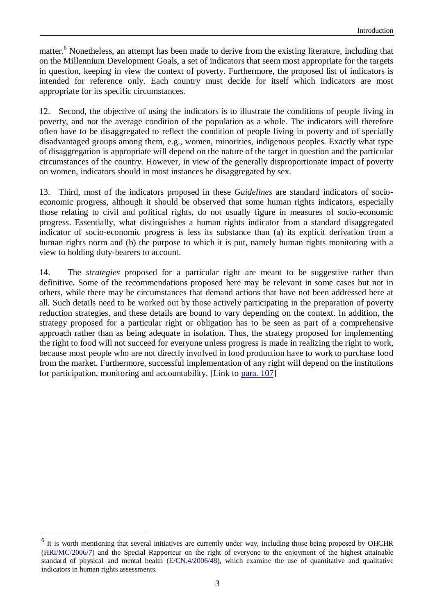matter.<sup>6</sup> Nonetheless, an attempt has been made to derive from the existing literature, including that on the Millennium Development Goals, a set of indicators that seem most appropriate for the targets in question, keeping in view the context of poverty. Furthermore, the proposed list of indicators is intended for reference only. Each country must decide for itself which indicators are most appropriate for its specific circumstances.

12. Second, the objective of using the indicators is to illustrate the conditions of people living in poverty, and not the average condition of the population as a whole. The indicators will therefore often have to be disaggregated to reflect the condition of people living in poverty and of specially disadvantaged groups among them, e.g., women, minorities, indigenous peoples. Exactly what type of disaggregation is appropriate will depend on the nature of the target in question and the particular circumstances of the country. However, in view of the generally disproportionate impact of poverty on women, indicators should in most instances be disaggregated by sex.

13. Third, most of the indicators proposed in these *Guidelines* are standard indicators of socioeconomic progress, although it should be observed that some human rights indicators, especially those relating to civil and political rights, do not usually figure in measures of socio-economic progress. Essentially, what distinguishes a human rights indicator from a standard disaggregated indicator of socio-economic progress is less its substance than (a) its explicit derivation from a human rights norm and (b) the purpose to which it is put, namely human rights monitoring with a view to holding duty-bearers to account.

14. The *strategies* proposed for a particular right are meant to be suggestive rather than definitive**.** Some of the recommendations proposed here may be relevant in some cases but not in others, while there may be circumstances that demand actions that have not been addressed here at all. Such details need to be worked out by those actively participating in the preparation of poverty reduction strategies, and these details are bound to vary depending on the context. In addition, the strategy proposed for a particular right or obligation has to be seen as part of a comprehensive approach rather than as being adequate in isolation. Thus, the strategy proposed for implementing the right to food will not succeed for everyone unless progress is made in realizing the right to work, because most people who are not directly involved in food production have to work to purchase food from the market. Furthermore, successful implementation of any right will depend on the institutions for participation, monitoring and accountability. [Link to para. 107]

<sup>&</sup>lt;sup>6</sup> It is worth mentioning that several initiatives are currently under way, including those being proposed by OHCHR (HRI/MC/2006/7) and the Special Rapporteur on the right of everyone to the enjoyment of the highest attainable standard of physical and mental health (E/CN.4/2006/48), which examine the use of quantitative and qualitative indicators in human rights assessments.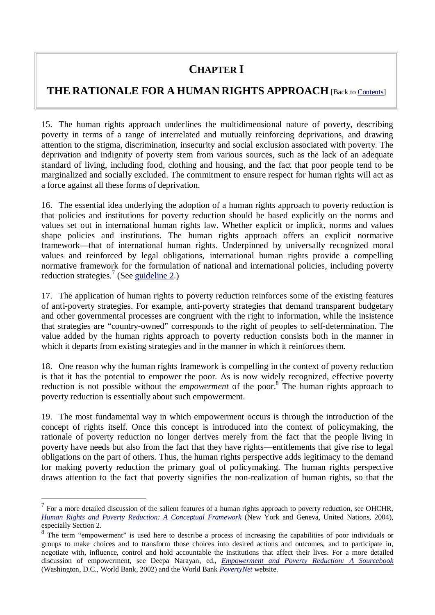## **CHAPTER I**

## **THE RATIONALE FOR A HUMAN RIGHTS APPROACH** [Back to Contents]

15. The human rights approach underlines the multidimensional nature of poverty, describing poverty in terms of a range of interrelated and mutually reinforcing deprivations, and drawing attention to the stigma, discrimination, insecurity and social exclusion associated with poverty. The deprivation and indignity of poverty stem from various sources, such as the lack of an adequate standard of living, including food, clothing and housing, and the fact that poor people tend to be marginalized and socially excluded. The commitment to ensure respect for human rights will act as a force against all these forms of deprivation.

16. The essential idea underlying the adoption of a human rights approach to poverty reduction is that policies and institutions for poverty reduction should be based explicitly on the norms and values set out in international human rights law. Whether explicit or implicit, norms and values shape policies and institutions. The human rights approach offers an explicit normative framework—that of international human rights. Underpinned by universally recognized moral values and reinforced by legal obligations, international human rights provide a compelling normative framework for the formulation of national and international policies, including poverty reduction strategies.<sup>7</sup> (See guideline 2.)

17. The application of human rights to poverty reduction reinforces some of the existing features of anti-poverty strategies. For example, anti-poverty strategies that demand transparent budgetary and other governmental processes are congruent with the right to information, while the insistence that strategies are "country-owned" corresponds to the right of peoples to self-determination. The value added by the human rights approach to poverty reduction consists both in the manner in which it departs from existing strategies and in the manner in which it reinforces them.

18. One reason why the human rights framework is compelling in the context of poverty reduction is that it has the potential to empower the poor. As is now widely recognized, effective poverty reduction is not possible without the *empowerment* of the poor.<sup>8</sup> The human rights approach to poverty reduction is essentially about such empowerment.

19. The most fundamental way in which empowerment occurs is through the introduction of the concept of rights itself. Once this concept is introduced into the context of policymaking, the rationale of poverty reduction no longer derives merely from the fact that the people living in poverty have needs but also from the fact that they have rights—entitlements that give rise to legal obligations on the part of others. Thus, the human rights perspective adds legitimacy to the demand for making poverty reduction the primary goal of policymaking. The human rights perspective draws attention to the fact that poverty signifies the non-realization of human rights, so that the

 $<sup>7</sup>$  For a more detailed discussion of the salient features of a human rights approach to poverty reduction, see OHCHR,</sup> *Human Rights and Poverty Reduction: A Conceptual Framework* (New York and Geneva, United Nations, 2004), especially Section 2.

<sup>&</sup>lt;sup>8</sup> The term "empowerment" is used here to describe a process of increasing the capabilities of poor individuals or groups to make choices and to transform those choices into desired actions and outcomes, and to participate in, negotiate with, influence, control and hold accountable the institutions that affect their lives. For a more detailed discussion of empowerment, see Deepa Narayan, ed., *Empowerment and Poverty Reduction: A Sourcebook* (Washington, D.C., World Bank, 2002) and the World Bank *PovertyNet* website.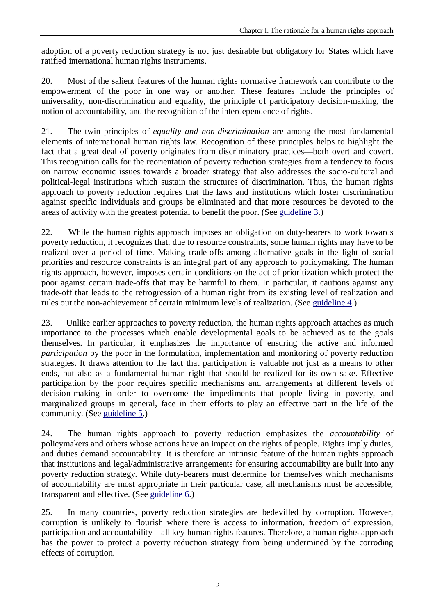adoption of a poverty reduction strategy is not just desirable but obligatory for States which have ratified international human rights instruments.

20. Most of the salient features of the human rights normative framework can contribute to the empowerment of the poor in one way or another. These features include the principles of universality, non-discrimination and equality, the principle of participatory decision-making, the notion of accountability, and the recognition of the interdependence of rights.

21. The twin principles of *equality and non-discrimination* are among the most fundamental elements of international human rights law. Recognition of these principles helps to highlight the fact that a great deal of poverty originates from discriminatory practices—both overt and covert. This recognition calls for the reorientation of poverty reduction strategies from a tendency to focus on narrow economic issues towards a broader strategy that also addresses the socio-cultural and political-legal institutions which sustain the structures of discrimination. Thus, the human rights approach to poverty reduction requires that the laws and institutions which foster discrimination against specific individuals and groups be eliminated and that more resources be devoted to the areas of activity with the greatest potential to benefit the poor. (See guideline 3.)

22. While the human rights approach imposes an obligation on duty-bearers to work towards poverty reduction, it recognizes that, due to resource constraints, some human rights may have to be realized over a period of time. Making trade-offs among alternative goals in the light of social priorities and resource constraints is an integral part of any approach to policymaking. The human rights approach, however, imposes certain conditions on the act of prioritization which protect the poor against certain trade-offs that may be harmful to them. In particular, it cautions against any trade-off that leads to the retrogression of a human right from its existing level of realization and rules out the non-achievement of certain minimum levels of realization. (See guideline 4.)

23. Unlike earlier approaches to poverty reduction, the human rights approach attaches as much importance to the processes which enable developmental goals to be achieved as to the goals themselves. In particular, it emphasizes the importance of ensuring the active and informed *participation* by the poor in the formulation, implementation and monitoring of poverty reduction strategies. It draws attention to the fact that participation is valuable not just as a means to other ends, but also as a fundamental human right that should be realized for its own sake. Effective participation by the poor requires specific mechanisms and arrangements at different levels of decision-making in order to overcome the impediments that people living in poverty, and marginalized groups in general, face in their efforts to play an effective part in the life of the community. (See guideline 5.)

24. The human rights approach to poverty reduction emphasizes the *accountability* of policymakers and others whose actions have an impact on the rights of people. Rights imply duties, and duties demand accountability. It is therefore an intrinsic feature of the human rights approach that institutions and legal/administrative arrangements for ensuring accountability are built into any poverty reduction strategy. While duty-bearers must determine for themselves which mechanisms of accountability are most appropriate in their particular case, all mechanisms must be accessible, transparent and effective. (See guideline 6.)

25. In many countries, poverty reduction strategies are bedevilled by corruption. However, corruption is unlikely to flourish where there is access to information, freedom of expression, participation and accountability—all key human rights features. Therefore, a human rights approach has the power to protect a poverty reduction strategy from being undermined by the corroding effects of corruption.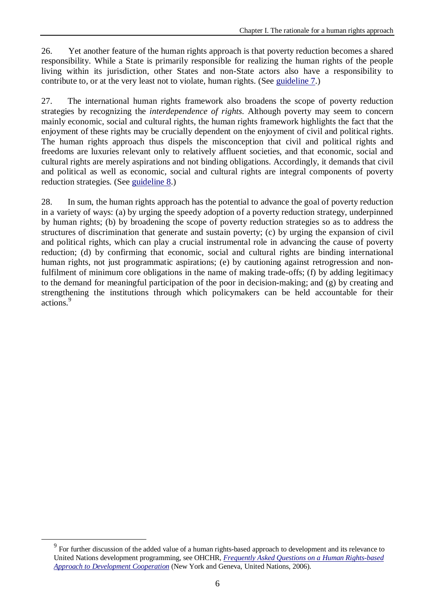26. Yet another feature of the human rights approach is that poverty reduction becomes a shared responsibility. While a State is primarily responsible for realizing the human rights of the people living within its jurisdiction, other States and non-State actors also have a responsibility to contribute to, or at the very least not to violate, human rights. (See guideline 7.)

27. The international human rights framework also broadens the scope of poverty reduction strategies by recognizing the *interdependence of rights*. Although poverty may seem to concern mainly economic, social and cultural rights, the human rights framework highlights the fact that the enjoyment of these rights may be crucially dependent on the enjoyment of civil and political rights. The human rights approach thus dispels the misconception that civil and political rights and freedoms are luxuries relevant only to relatively affluent societies, and that economic, social and cultural rights are merely aspirations and not binding obligations. Accordingly, it demands that civil and political as well as economic, social and cultural rights are integral components of poverty reduction strategies. (See guideline 8.)

28. In sum, the human rights approach has the potential to advance the goal of poverty reduction in a variety of ways: (a) by urging the speedy adoption of a poverty reduction strategy, underpinned by human rights; (b) by broadening the scope of poverty reduction strategies so as to address the structures of discrimination that generate and sustain poverty; (c) by urging the expansion of civil and political rights, which can play a crucial instrumental role in advancing the cause of poverty reduction; (d) by confirming that economic, social and cultural rights are binding international human rights, not just programmatic aspirations; (e) by cautioning against retrogression and nonfulfilment of minimum core obligations in the name of making trade-offs; (f) by adding legitimacy to the demand for meaningful participation of the poor in decision-making; and (g) by creating and strengthening the institutions through which policymakers can be held accountable for their actions.<sup>9</sup>

 $9<sup>9</sup>$  For further discussion of the added value of a human rights-based approach to development and its relevance to United Nations development programming, see OHCHR, *Frequently Asked Questions on a Human Rights-based Approach to Development Cooperation* (New York and Geneva, United Nations, 2006).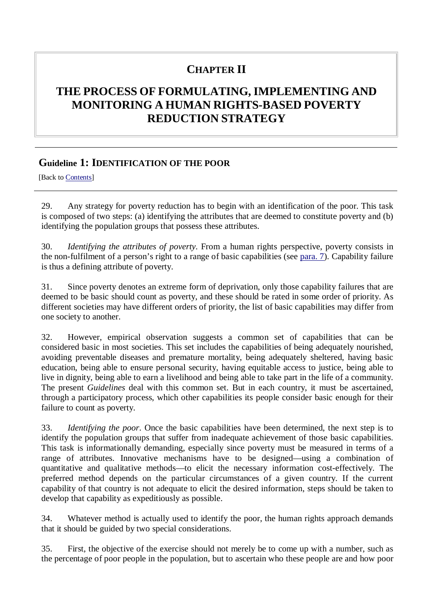## **CHAPTER II**

## **THE PROCESS OF FORMULATING, IMPLEMENTING AND MONITORING A HUMAN RIGHTS-BASED POVERTY REDUCTION STRATEGY**

## **Guideline 1: IDENTIFICATION OF THE POOR**

[Back to Contents]

29. Any strategy for poverty reduction has to begin with an identification of the poor. This task is composed of two steps: (a) identifying the attributes that are deemed to constitute poverty and (b) identifying the population groups that possess these attributes.

30. *Identifying the attributes of poverty*. From a human rights perspective, poverty consists in the non-fulfilment of a person's right to a range of basic capabilities (see para. 7). Capability failure is thus a defining attribute of poverty.

31. Since poverty denotes an extreme form of deprivation, only those capability failures that are deemed to be basic should count as poverty, and these should be rated in some order of priority. As different societies may have different orders of priority, the list of basic capabilities may differ from one society to another.

32. However, empirical observation suggests a common set of capabilities that can be considered basic in most societies. This set includes the capabilities of being adequately nourished, avoiding preventable diseases and premature mortality, being adequately sheltered, having basic education, being able to ensure personal security, having equitable access to justice, being able to live in dignity, being able to earn a livelihood and being able to take part in the life of a community. The present *Guidelines* deal with this common set. But in each country, it must be ascertained, through a participatory process, which other capabilities its people consider basic enough for their failure to count as poverty.

33. *Identifying the poor*. Once the basic capabilities have been determined, the next step is to identify the population groups that suffer from inadequate achievement of those basic capabilities. This task is informationally demanding, especially since poverty must be measured in terms of a range of attributes. Innovative mechanisms have to be designed—using a combination of quantitative and qualitative methods—to elicit the necessary information cost-effectively. The preferred method depends on the particular circumstances of a given country. If the current capability of that country is not adequate to elicit the desired information, steps should be taken to develop that capability as expeditiously as possible.

34. Whatever method is actually used to identify the poor, the human rights approach demands that it should be guided by two special considerations.

35. First, the objective of the exercise should not merely be to come up with a number, such as the percentage of poor people in the population, but to ascertain who these people are and how poor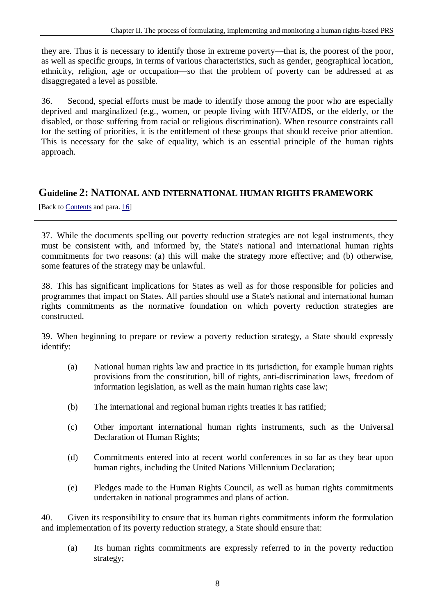they are. Thus it is necessary to identify those in extreme poverty—that is, the poorest of the poor, as well as specific groups, in terms of various characteristics, such as gender, geographical location, ethnicity, religion, age or occupation—so that the problem of poverty can be addressed at as disaggregated a level as possible.

36. Second, special efforts must be made to identify those among the poor who are especially deprived and marginalized (e.g., women, or people living with HIV/AIDS, or the elderly, or the disabled, or those suffering from racial or religious discrimination). When resource constraints call for the setting of priorities, it is the entitlement of these groups that should receive prior attention. This is necessary for the sake of equality, which is an essential principle of the human rights approach.

## **Guideline 2: NATIONAL AND INTERNATIONAL HUMAN RIGHTS FRAMEWORK**

[Back to Contents and para. 16]

37. While the documents spelling out poverty reduction strategies are not legal instruments, they must be consistent with, and informed by, the State's national and international human rights commitments for two reasons: (a) this will make the strategy more effective; and (b) otherwise, some features of the strategy may be unlawful.

38. This has significant implications for States as well as for those responsible for policies and programmes that impact on States. All parties should use a State's national and international human rights commitments as the normative foundation on which poverty reduction strategies are constructed.

39. When beginning to prepare or review a poverty reduction strategy, a State should expressly identify:

- (a) National human rights law and practice in its jurisdiction, for example human rights provisions from the constitution, bill of rights, anti-discrimination laws, freedom of information legislation, as well as the main human rights case law;
- (b) The international and regional human rights treaties it has ratified;
- (c) Other important international human rights instruments, such as the Universal Declaration of Human Rights;
- (d) Commitments entered into at recent world conferences in so far as they bear upon human rights, including the United Nations Millennium Declaration;
- (e) Pledges made to the Human Rights Council, as well as human rights commitments undertaken in national programmes and plans of action.

40. Given its responsibility to ensure that its human rights commitments inform the formulation and implementation of its poverty reduction strategy, a State should ensure that:

(a) Its human rights commitments are expressly referred to in the poverty reduction strategy;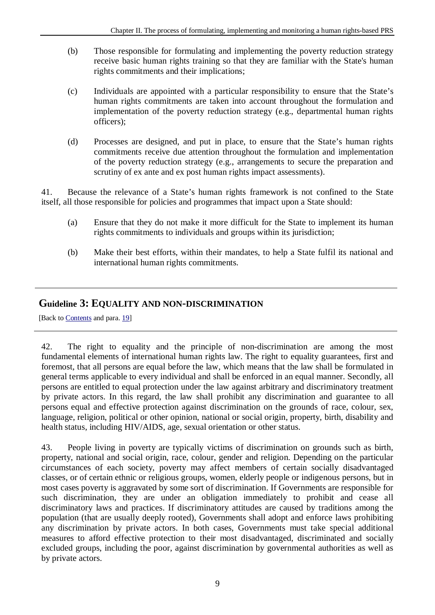- (b) Those responsible for formulating and implementing the poverty reduction strategy receive basic human rights training so that they are familiar with the State's human rights commitments and their implications;
- (c) Individuals are appointed with a particular responsibility to ensure that the State's human rights commitments are taken into account throughout the formulation and implementation of the poverty reduction strategy (e.g., departmental human rights officers);
- (d) Processes are designed, and put in place, to ensure that the State's human rights commitments receive due attention throughout the formulation and implementation of the poverty reduction strategy (e.g., arrangements to secure the preparation and scrutiny of ex ante and ex post human rights impact assessments).

41. Because the relevance of a State's human rights framework is not confined to the State itself, all those responsible for policies and programmes that impact upon a State should:

- (a) Ensure that they do not make it more difficult for the State to implement its human rights commitments to individuals and groups within its jurisdiction;
- (b) Make their best efforts, within their mandates, to help a State fulfil its national and international human rights commitments.

## **Guideline 3: EQUALITY AND NON-DISCRIMINATION**

[Back to Contents and para. 19]

42. The right to equality and the principle of non-discrimination are among the most fundamental elements of international human rights law. The right to equality guarantees, first and foremost, that all persons are equal before the law, which means that the law shall be formulated in general terms applicable to every individual and shall be enforced in an equal manner. Secondly, all persons are entitled to equal protection under the law against arbitrary and discriminatory treatment by private actors. In this regard, the law shall prohibit any discrimination and guarantee to all persons equal and effective protection against discrimination on the grounds of race, colour, sex, language, religion, political or other opinion, national or social origin, property, birth, disability and health status, including HIV/AIDS, age, sexual orientation or other status.

43. People living in poverty are typically victims of discrimination on grounds such as birth, property, national and social origin, race, colour, gender and religion. Depending on the particular circumstances of each society, poverty may affect members of certain socially disadvantaged classes, or of certain ethnic or religious groups, women, elderly people or indigenous persons, but in most cases poverty is aggravated by some sort of discrimination. If Governments are responsible for such discrimination, they are under an obligation immediately to prohibit and cease all discriminatory laws and practices. If discriminatory attitudes are caused by traditions among the population (that are usually deeply rooted), Governments shall adopt and enforce laws prohibiting any discrimination by private actors. In both cases, Governments must take special additional measures to afford effective protection to their most disadvantaged, discriminated and socially excluded groups, including the poor, against discrimination by governmental authorities as well as by private actors.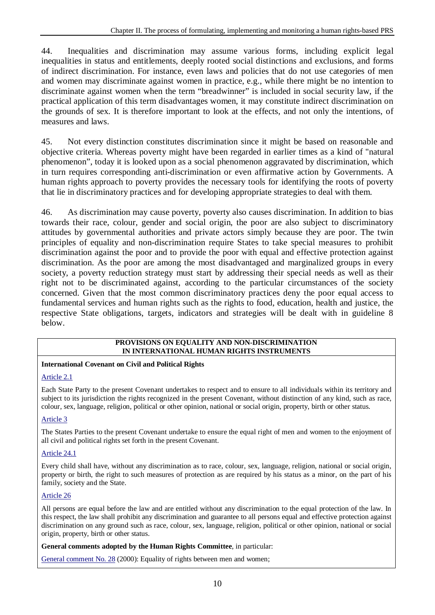44. Inequalities and discrimination may assume various forms, including explicit legal inequalities in status and entitlements, deeply rooted social distinctions and exclusions, and forms of indirect discrimination. For instance, even laws and policies that do not use categories of men and women may discriminate against women in practice, e.g., while there might be no intention to discriminate against women when the term "breadwinner" is included in social security law, if the practical application of this term disadvantages women, it may constitute indirect discrimination on the grounds of sex. It is therefore important to look at the effects, and not only the intentions, of measures and laws.

45. Not every distinction constitutes discrimination since it might be based on reasonable and objective criteria. Whereas poverty might have been regarded in earlier times as a kind of "natural phenomenon", today it is looked upon as a social phenomenon aggravated by discrimination, which in turn requires corresponding anti-discrimination or even affirmative action by Governments. A human rights approach to poverty provides the necessary tools for identifying the roots of poverty that lie in discriminatory practices and for developing appropriate strategies to deal with them.

46. As discrimination may cause poverty, poverty also causes discrimination. In addition to bias towards their race, colour, gender and social origin, the poor are also subject to discriminatory attitudes by governmental authorities and private actors simply because they are poor. The twin principles of equality and non-discrimination require States to take special measures to prohibit discrimination against the poor and to provide the poor with equal and effective protection against discrimination. As the poor are among the most disadvantaged and marginalized groups in every society, a poverty reduction strategy must start by addressing their special needs as well as their right not to be discriminated against, according to the particular circumstances of the society concerned. Given that the most common discriminatory practices deny the poor equal access to fundamental services and human rights such as the rights to food, education, health and justice, the respective State obligations, targets, indicators and strategies will be dealt with in guideline 8 below.

#### **PROVISIONS ON EQUALITY AND NON-DISCRIMINATION IN INTERNATIONAL HUMAN RIGHTS INSTRUMENTS**

#### **International Covenant on Civil and Political Rights**

#### Article 2.1

Each State Party to the present Covenant undertakes to respect and to ensure to all individuals within its territory and subject to its jurisdiction the rights recognized in the present Covenant, without distinction of any kind, such as race, colour, sex, language, religion, political or other opinion, national or social origin, property, birth or other status.

#### Article 3

The States Parties to the present Covenant undertake to ensure the equal right of men and women to the enjoyment of all civil and political rights set forth in the present Covenant.

#### Article 24.1

Every child shall have, without any discrimination as to race, colour, sex, language, religion, national or social origin, property or birth, the right to such measures of protection as are required by his status as a minor, on the part of his family, society and the State.

#### Article 26

All persons are equal before the law and are entitled without any discrimination to the equal protection of the law. In this respect, the law shall prohibit any discrimination and guarantee to all persons equal and effective protection against discrimination on any ground such as race, colour, sex, language, religion, political or other opinion, national or social origin, property, birth or other status.

#### **General comments adopted by the Human Rights Committee**, in particular:

General comment No. 28 (2000): Equality of rights between men and women;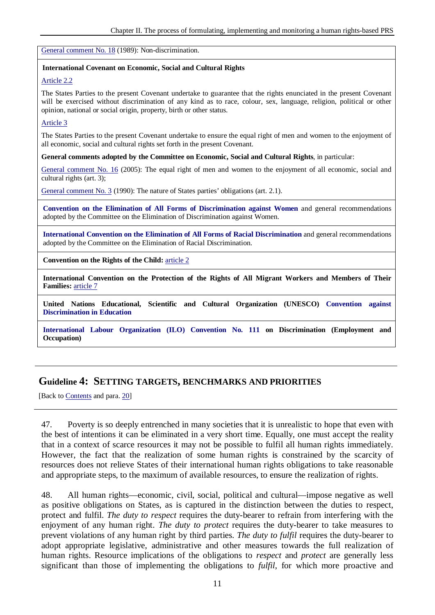General comment No. 18 (1989): Non-discrimination.

#### **International Covenant on Economic, Social and Cultural Rights**

#### Article 2.2

The States Parties to the present Covenant undertake to guarantee that the rights enunciated in the present Covenant will be exercised without discrimination of any kind as to race, colour, sex, language, religion, political or other opinion, national or social origin, property, birth or other status.

#### Article 3

The States Parties to the present Covenant undertake to ensure the equal right of men and women to the enjoyment of all economic, social and cultural rights set forth in the present Covenant.

**General comments adopted by the Committee on Economic, Social and Cultural Rights**, in particular:

General comment No. 16 (2005): The equal right of men and women to the enjoyment of all economic, social and cultural rights (art. 3);

General comment No. 3 (1990): The nature of States parties' obligations (art. 2.1).

**Convention on the Elimination of All Forms of Discrimination against Women** and general recommendations adopted by the Committee on the Elimination of Discrimination against Women.

**International Convention on the Elimination of All Forms of Racial Discrimination** and general recommendations adopted by the Committee on the Elimination of Racial Discrimination.

**Convention on the Rights of the Child:** article 2

**International Convention on the Protection of the Rights of All Migrant Workers and Members of Their Families:** article 7

**United Nations Educational, Scientific and Cultural Organization (UNESCO) Convention against Discrimination in Education**

**International Labour Organization (ILO) Convention No. 111 on Discrimination (Employment and Occupation)**

#### **Guideline 4: SETTING TARGETS, BENCHMARKS AND PRIORITIES**

[Back to Contents and para. 20]

47. Poverty is so deeply entrenched in many societies that it is unrealistic to hope that even with the best of intentions it can be eliminated in a very short time. Equally, one must accept the reality that in a context of scarce resources it may not be possible to fulfil all human rights immediately. However, the fact that the realization of some human rights is constrained by the scarcity of resources does not relieve States of their international human rights obligations to take reasonable and appropriate steps, to the maximum of available resources, to ensure the realization of rights.

48. All human rights—economic, civil, social, political and cultural—impose negative as well as positive obligations on States, as is captured in the distinction between the duties to respect, protect and fulfil. *The duty to respect* requires the duty-bearer to refrain from interfering with the enjoyment of any human right. *The duty to protect* requires the duty-bearer to take measures to prevent violations of any human right by third parties. *The duty to fulfil* requires the duty-bearer to adopt appropriate legislative, administrative and other measures towards the full realization of human rights. Resource implications of the obligations to *respect* and *protect* are generally less significant than those of implementing the obligations to *fulfil*, for which more proactive and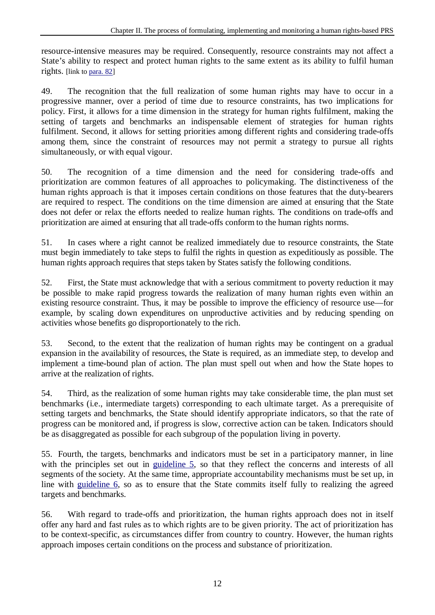resource-intensive measures may be required. Consequently, resource constraints may not affect a State's ability to respect and protect human rights to the same extent as its ability to fulfil human rights. [link to para. 82]

49. The recognition that the full realization of some human rights may have to occur in a progressive manner, over a period of time due to resource constraints, has two implications for policy. First, it allows for a time dimension in the strategy for human rights fulfilment, making the setting of targets and benchmarks an indispensable element of strategies for human rights fulfilment. Second, it allows for setting priorities among different rights and considering trade-offs among them, since the constraint of resources may not permit a strategy to pursue all rights simultaneously, or with equal vigour.

50. The recognition of a time dimension and the need for considering trade-offs and prioritization are common features of all approaches to policymaking. The distinctiveness of the human rights approach is that it imposes certain conditions on those features that the duty-bearers are required to respect. The conditions on the time dimension are aimed at ensuring that the State does not defer or relax the efforts needed to realize human rights. The conditions on trade-offs and prioritization are aimed at ensuring that all trade-offs conform to the human rights norms.

51. In cases where a right cannot be realized immediately due to resource constraints, the State must begin immediately to take steps to fulfil the rights in question as expeditiously as possible. The human rights approach requires that steps taken by States satisfy the following conditions.

52. First, the State must acknowledge that with a serious commitment to poverty reduction it may be possible to make rapid progress towards the realization of many human rights even within an existing resource constraint. Thus, it may be possible to improve the efficiency of resource use—for example, by scaling down expenditures on unproductive activities and by reducing spending on activities whose benefits go disproportionately to the rich.

53. Second, to the extent that the realization of human rights may be contingent on a gradual expansion in the availability of resources, the State is required, as an immediate step, to develop and implement a time-bound plan of action. The plan must spell out when and how the State hopes to arrive at the realization of rights.

54. Third, as the realization of some human rights may take considerable time, the plan must set benchmarks (i.e., intermediate targets) corresponding to each ultimate target. As a prerequisite of setting targets and benchmarks, the State should identify appropriate indicators, so that the rate of progress can be monitored and, if progress is slow, corrective action can be taken. Indicators should be as disaggregated as possible for each subgroup of the population living in poverty.

55. Fourth, the targets, benchmarks and indicators must be set in a participatory manner, in line with the principles set out in guideline 5, so that they reflect the concerns and interests of all segments of the society. At the same time, appropriate accountability mechanisms must be set up, in line with guideline 6, so as to ensure that the State commits itself fully to realizing the agreed targets and benchmarks.

56. With regard to trade-offs and prioritization, the human rights approach does not in itself offer any hard and fast rules as to which rights are to be given priority. The act of prioritization has to be context-specific, as circumstances differ from country to country. However, the human rights approach imposes certain conditions on the process and substance of prioritization.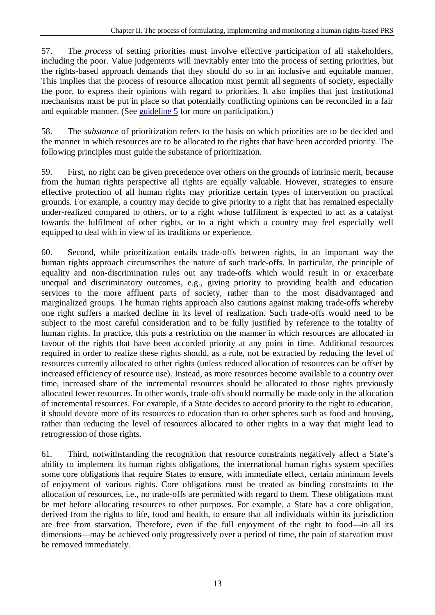57. The *process* of setting priorities must involve effective participation of all stakeholders, including the poor. Value judgements will inevitably enter into the process of setting priorities, but the rights-based approach demands that they should do so in an inclusive and equitable manner. This implies that the process of resource allocation must permit all segments of society, especially the poor, to express their opinions with regard to priorities. It also implies that just institutional mechanisms must be put in place so that potentially conflicting opinions can be reconciled in a fair and equitable manner. (See guideline 5 for more on participation.)

58. The *substance* of prioritization refers to the basis on which priorities are to be decided and the manner in which resources are to be allocated to the rights that have been accorded priority. The following principles must guide the substance of prioritization.

59. First, no right can be given precedence over others on the grounds of intrinsic merit, because from the human rights perspective all rights are equally valuable. However, strategies to ensure effective protection of all human rights may prioritize certain types of intervention on practical grounds. For example, a country may decide to give priority to a right that has remained especially under-realized compared to others, or to a right whose fulfilment is expected to act as a catalyst towards the fulfilment of other rights, or to a right which a country may feel especially well equipped to deal with in view of its traditions or experience.

60. Second, while prioritization entails trade-offs between rights, in an important way the human rights approach circumscribes the nature of such trade-offs. In particular, the principle of equality and non-discrimination rules out any trade-offs which would result in or exacerbate unequal and discriminatory outcomes, e.g., giving priority to providing health and education services to the more affluent parts of society, rather than to the most disadvantaged and marginalized groups. The human rights approach also cautions against making trade-offs whereby one right suffers a marked decline in its level of realization. Such trade-offs would need to be subject to the most careful consideration and to be fully justified by reference to the totality of human rights. In practice, this puts a restriction on the manner in which resources are allocated in favour of the rights that have been accorded priority at any point in time. Additional resources required in order to realize these rights should, as a rule, not be extracted by reducing the level of resources currently allocated to other rights (unless reduced allocation of resources can be offset by increased efficiency of resource use). Instead, as more resources become available to a country over time, increased share of the incremental resources should be allocated to those rights previously allocated fewer resources. In other words, trade-offs should normally be made only in the allocation of incremental resources. For example, if a State decides to accord priority to the right to education, it should devote more of its resources to education than to other spheres such as food and housing, rather than reducing the level of resources allocated to other rights in a way that might lead to retrogression of those rights.

61. Third, notwithstanding the recognition that resource constraints negatively affect a State's ability to implement its human rights obligations, the international human rights system specifies some core obligations that require States to ensure, with immediate effect, certain minimum levels of enjoyment of various rights. Core obligations must be treated as binding constraints to the allocation of resources, i.e., no trade-offs are permitted with regard to them. These obligations must be met before allocating resources to other purposes. For example, a State has a core obligation, derived from the rights to life, food and health, to ensure that all individuals within its jurisdiction are free from starvation. Therefore, even if the full enjoyment of the right to food—in all its dimensions—may be achieved only progressively over a period of time, the pain of starvation must be removed immediately.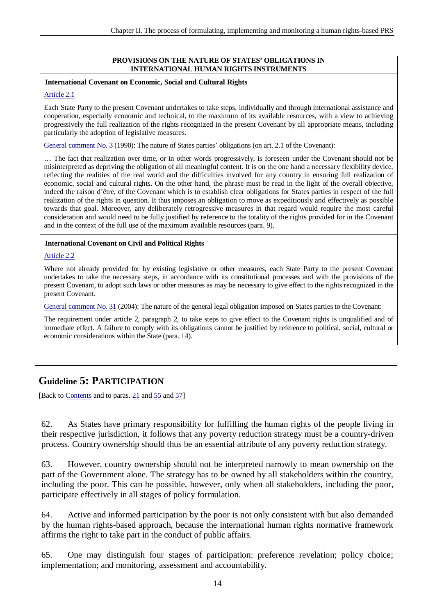#### **PROVISIONS ON THE NATURE OF STATES' OBLIGATIONS IN INTERNATIONAL HUMAN RIGHTS INSTRUMENTS**

#### **International Covenant on Economic, Social and Cultural Rights**

#### Article 2.1

Each State Party to the present Covenant undertakes to take steps, individually and through international assistance and cooperation, especially economic and technical, to the maximum of its available resources, with a view to achieving progressively the full realization of the rights recognized in the present Covenant by all appropriate means, including particularly the adoption of legislative measures.

General comment No. 3 (1990): The nature of States parties' obligations (on art. 2.1 of the Covenant):

… The fact that realization over time, or in other words progressively, is foreseen under the Covenant should not be misinterpreted as depriving the obligation of all meaningful content. It is on the one hand a necessary flexibility device, reflecting the realities of the real world and the difficulties involved for any country in ensuring full realization of economic, social and cultural rights. On the other hand, the phrase must be read in the light of the overall objective, indeed the raison d'être, of the Covenant which is to establish clear obligations for States parties in respect of the full realization of the rights in question. It thus imposes an obligation to move as expeditiously and effectively as possible towards that goal. Moreover, any deliberately retrogressive measures in that regard would require the most careful consideration and would need to be fully justified by reference to the totality of the rights provided for in the Covenant and in the context of the full use of the maximum available resources (para. 9).

#### **International Covenant on Civil and Political Rights**

Article 2.2

Where not already provided for by existing legislative or other measures, each State Party to the present Covenant undertakes to take the necessary steps, in accordance with its constitutional processes and with the provisions of the present Covenant, to adopt such laws or other measures as may be necessary to give effect to the rights recognized in the present Covenant.

General comment No. 31 (2004): The nature of the general legal obligation imposed on States parties to the Covenant:

The requirement under article 2, paragraph 2, to take steps to give effect to the Covenant rights is unqualified and of immediate effect. A failure to comply with its obligations cannot be justified by reference to political, social, cultural or economic considerations within the State (para. 14).

## **Guideline 5: PARTICIPATION**

[Back to Contents and to paras. 21 and 55 and 57]

62. As States have primary responsibility for fulfilling the human rights of the people living in their respective jurisdiction, it follows that any poverty reduction strategy must be a country-driven process. Country ownership should thus be an essential attribute of any poverty reduction strategy.

63. However, country ownership should not be interpreted narrowly to mean ownership on the part of the Government alone. The strategy has to be owned by all stakeholders within the country, including the poor. This can be possible, however, only when all stakeholders, including the poor, participate effectively in all stages of policy formulation.

64. Active and informed participation by the poor is not only consistent with but also demanded by the human rights-based approach, because the international human rights normative framework affirms the right to take part in the conduct of public affairs.

65. One may distinguish four stages of participation: preference revelation; policy choice; implementation; and monitoring, assessment and accountability.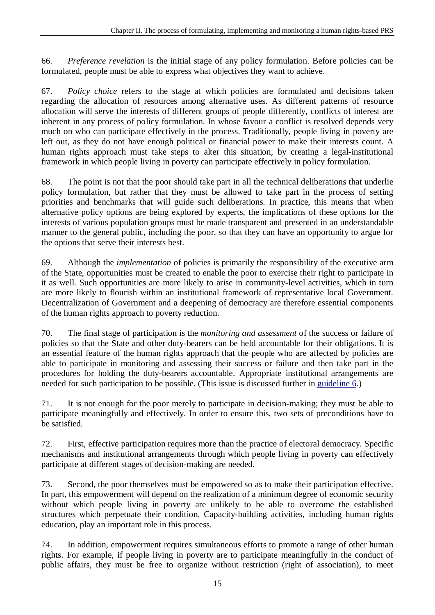66. *Preference revelation* is the initial stage of any policy formulation. Before policies can be formulated, people must be able to express what objectives they want to achieve.

67. *Policy choice* refers to the stage at which policies are formulated and decisions taken regarding the allocation of resources among alternative uses. As different patterns of resource allocation will serve the interests of different groups of people differently, conflicts of interest are inherent in any process of policy formulation. In whose favour a conflict is resolved depends very much on who can participate effectively in the process. Traditionally, people living in poverty are left out, as they do not have enough political or financial power to make their interests count. A human rights approach must take steps to alter this situation, by creating a legal-institutional framework in which people living in poverty can participate effectively in policy formulation.

68. The point is not that the poor should take part in all the technical deliberations that underlie policy formulation, but rather that they must be allowed to take part in the process of setting priorities and benchmarks that will guide such deliberations. In practice, this means that when alternative policy options are being explored by experts, the implications of these options for the interests of various population groups must be made transparent and presented in an understandable manner to the general public, including the poor, so that they can have an opportunity to argue for the options that serve their interests best.

69. Although the *implementation* of policies is primarily the responsibility of the executive arm of the State, opportunities must be created to enable the poor to exercise their right to participate in it as well. Such opportunities are more likely to arise in community-level activities, which in turn are more likely to flourish within an institutional framework of representative local Government. Decentralization of Government and a deepening of democracy are therefore essential components of the human rights approach to poverty reduction.

70. The final stage of participation is the *monitoring and assessment* of the success or failure of policies so that the State and other duty-bearers can be held accountable for their obligations. It is an essential feature of the human rights approach that the people who are affected by policies are able to participate in monitoring and assessing their success or failure and then take part in the procedures for holding the duty-bearers accountable. Appropriate institutional arrangements are needed for such participation to be possible. (This issue is discussed further in guideline 6.)

71. It is not enough for the poor merely to participate in decision-making; they must be able to participate meaningfully and effectively. In order to ensure this, two sets of preconditions have to be satisfied.

72. First, effective participation requires more than the practice of electoral democracy. Specific mechanisms and institutional arrangements through which people living in poverty can effectively participate at different stages of decision-making are needed.

73. Second, the poor themselves must be empowered so as to make their participation effective. In part, this empowerment will depend on the realization of a minimum degree of economic security without which people living in poverty are unlikely to be able to overcome the established structures which perpetuate their condition. Capacity-building activities, including human rights education, play an important role in this process.

74. In addition, empowerment requires simultaneous efforts to promote a range of other human rights. For example, if people living in poverty are to participate meaningfully in the conduct of public affairs, they must be free to organize without restriction (right of association), to meet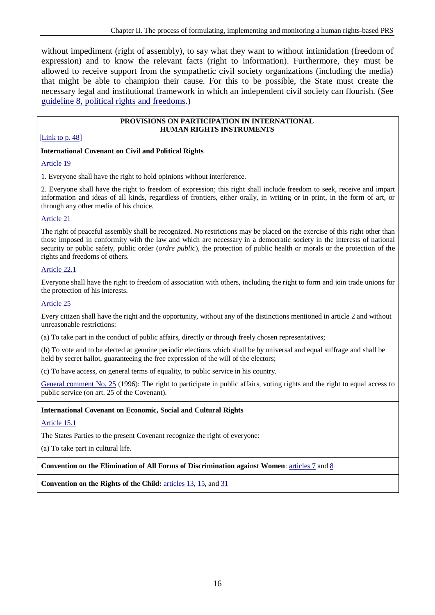without impediment (right of assembly), to say what they want to without intimidation (freedom of expression) and to know the relevant facts (right to information). Furthermore, they must be allowed to receive support from the sympathetic civil society organizations (including the media) that might be able to champion their cause. For this to be possible, the State must create the necessary legal and institutional framework in which an independent civil society can flourish. (See guideline 8, political rights and freedoms.)

#### **PROVISIONS ON PARTICIPATION IN INTERNATIONAL HUMAN RIGHTS INSTRUMENTS**

#### [Link to p. 48]

#### **International Covenant on Civil and Political Rights**

#### Article 19

1. Everyone shall have the right to hold opinions without interference.

2. Everyone shall have the right to freedom of expression; this right shall include freedom to seek, receive and impart information and ideas of all kinds, regardless of frontiers, either orally, in writing or in print, in the form of art, or through any other media of his choice.

#### Article 21

The right of peaceful assembly shall be recognized. No restrictions may be placed on the exercise of this right other than those imposed in conformity with the law and which are necessary in a democratic society in the interests of national security or public safety, public order (*ordre public*), the protection of public health or morals or the protection of the rights and freedoms of others.

#### Article 22.1

Everyone shall have the right to freedom of association with others, including the right to form and join trade unions for the protection of his interests.

#### Article 25

Every citizen shall have the right and the opportunity, without any of the distinctions mentioned in article 2 and without unreasonable restrictions:

(a) To take part in the conduct of public affairs, directly or through freely chosen representatives;

(b) To vote and to be elected at genuine periodic elections which shall be by universal and equal suffrage and shall be held by secret ballot, guaranteeing the free expression of the will of the electors;

(c) To have access, on general terms of equality, to public service in his country.

General comment No. 25 (1996): The right to participate in public affairs, voting rights and the right to equal access to public service (on art. 25 of the Covenant).

#### **International Covenant on Economic, Social and Cultural Rights**

#### Article 15.1

The States Parties to the present Covenant recognize the right of everyone:

(a) To take part in cultural life.

**Convention on the Elimination of All Forms of Discrimination against Women**: articles 7 and 8

**Convention on the Rights of the Child:** articles 13, 15, and 31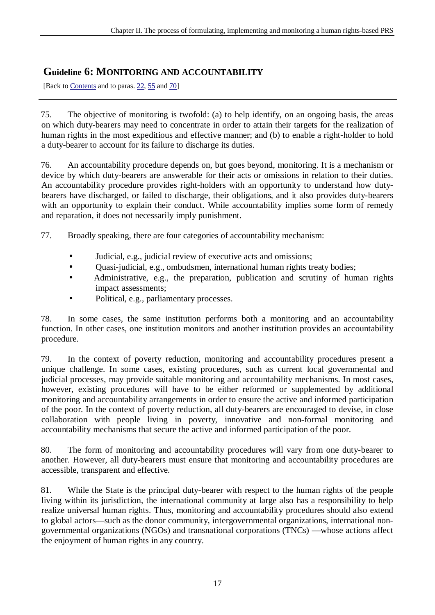## **Guideline 6: MONITORING AND ACCOUNTABILITY**

[Back to Contents and to paras. 22, 55 and 70]

75. The objective of monitoring is twofold: (a) to help identify, on an ongoing basis, the areas on which duty-bearers may need to concentrate in order to attain their targets for the realization of human rights in the most expeditious and effective manner; and (b) to enable a right-holder to hold a duty-bearer to account for its failure to discharge its duties.

76. An accountability procedure depends on, but goes beyond, monitoring. It is a mechanism or device by which duty-bearers are answerable for their acts or omissions in relation to their duties. An accountability procedure provides right-holders with an opportunity to understand how dutybearers have discharged, or failed to discharge, their obligations, and it also provides duty-bearers with an opportunity to explain their conduct. While accountability implies some form of remedy and reparation, it does not necessarily imply punishment.

77. Broadly speaking, there are four categories of accountability mechanism:

- Judicial, e.g., judicial review of executive acts and omissions;
- Quasi-judicial, e.g., ombudsmen, international human rights treaty bodies;
- Administrative, e.g., the preparation, publication and scrutiny of human rights impact assessments;
- Political, e.g., parliamentary processes.

78. In some cases, the same institution performs both a monitoring and an accountability function. In other cases, one institution monitors and another institution provides an accountability procedure.

79. In the context of poverty reduction, monitoring and accountability procedures present a unique challenge. In some cases, existing procedures, such as current local governmental and judicial processes, may provide suitable monitoring and accountability mechanisms. In most cases, however, existing procedures will have to be either reformed or supplemented by additional monitoring and accountability arrangements in order to ensure the active and informed participation of the poor. In the context of poverty reduction, all duty-bearers are encouraged to devise, in close collaboration with people living in poverty, innovative and non-formal monitoring and accountability mechanisms that secure the active and informed participation of the poor.

80. The form of monitoring and accountability procedures will vary from one duty-bearer to another. However, all duty-bearers must ensure that monitoring and accountability procedures are accessible, transparent and effective.

81. While the State is the principal duty-bearer with respect to the human rights of the people living within its jurisdiction, the international community at large also has a responsibility to help realize universal human rights. Thus, monitoring and accountability procedures should also extend to global actors—such as the donor community, intergovernmental organizations, international nongovernmental organizations (NGOs) and transnational corporations (TNCs) —whose actions affect the enjoyment of human rights in any country.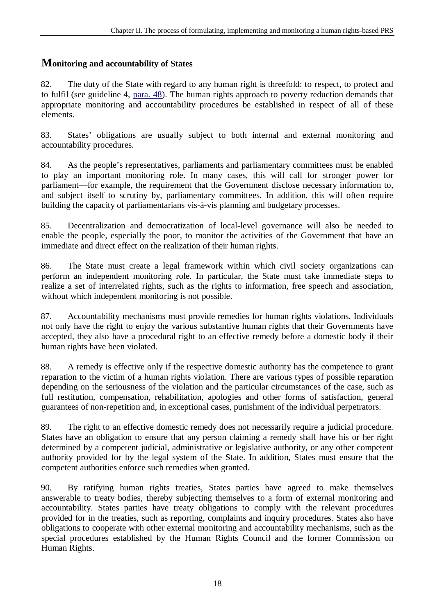## **Monitoring and accountability of States**

82. The duty of the State with regard to any human right is threefold: to respect, to protect and to fulfil (see guideline 4, para. 48). The human rights approach to poverty reduction demands that appropriate monitoring and accountability procedures be established in respect of all of these elements.

83. States' obligations are usually subject to both internal and external monitoring and accountability procedures.

84. As the people's representatives, parliaments and parliamentary committees must be enabled to play an important monitoring role. In many cases, this will call for stronger power for parliament—for example, the requirement that the Government disclose necessary information to, and subject itself to scrutiny by, parliamentary committees. In addition, this will often require building the capacity of parliamentarians vis-à-vis planning and budgetary processes.

85. Decentralization and democratization of local-level governance will also be needed to enable the people, especially the poor, to monitor the activities of the Government that have an immediate and direct effect on the realization of their human rights.

86. The State must create a legal framework within which civil society organizations can perform an independent monitoring role. In particular, the State must take immediate steps to realize a set of interrelated rights, such as the rights to information, free speech and association, without which independent monitoring is not possible.

87. Accountability mechanisms must provide remedies for human rights violations. Individuals not only have the right to enjoy the various substantive human rights that their Governments have accepted, they also have a procedural right to an effective remedy before a domestic body if their human rights have been violated.

88. A remedy is effective only if the respective domestic authority has the competence to grant reparation to the victim of a human rights violation. There are various types of possible reparation depending on the seriousness of the violation and the particular circumstances of the case, such as full restitution, compensation, rehabilitation, apologies and other forms of satisfaction, general guarantees of non-repetition and, in exceptional cases, punishment of the individual perpetrators.

89. The right to an effective domestic remedy does not necessarily require a judicial procedure. States have an obligation to ensure that any person claiming a remedy shall have his or her right determined by a competent judicial, administrative or legislative authority, or any other competent authority provided for by the legal system of the State. In addition, States must ensure that the competent authorities enforce such remedies when granted.

90. By ratifying human rights treaties, States parties have agreed to make themselves answerable to treaty bodies, thereby subjecting themselves to a form of external monitoring and accountability. States parties have treaty obligations to comply with the relevant procedures provided for in the treaties, such as reporting, complaints and inquiry procedures. States also have obligations to cooperate with other external monitoring and accountability mechanisms, such as the special procedures established by the Human Rights Council and the former Commission on Human Rights.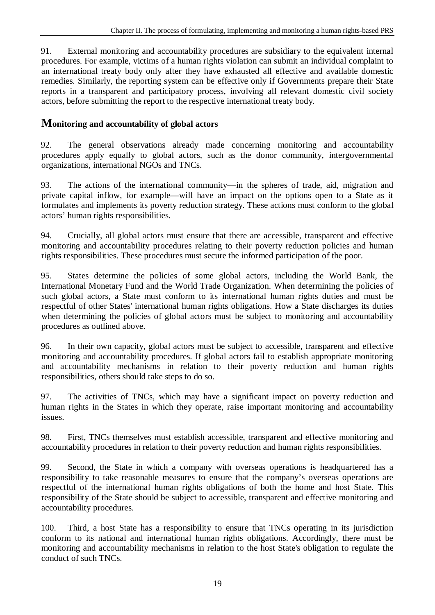91. External monitoring and accountability procedures are subsidiary to the equivalent internal procedures. For example, victims of a human rights violation can submit an individual complaint to an international treaty body only after they have exhausted all effective and available domestic remedies. Similarly, the reporting system can be effective only if Governments prepare their State reports in a transparent and participatory process, involving all relevant domestic civil society actors, before submitting the report to the respective international treaty body.

## **Monitoring and accountability of global actors**

92. The general observations already made concerning monitoring and accountability procedures apply equally to global actors, such as the donor community, intergovernmental organizations, international NGOs and TNCs.

93. The actions of the international community—in the spheres of trade, aid, migration and private capital inflow, for example—will have an impact on the options open to a State as it formulates and implements its poverty reduction strategy. These actions must conform to the global actors' human rights responsibilities.

94. Crucially, all global actors must ensure that there are accessible, transparent and effective monitoring and accountability procedures relating to their poverty reduction policies and human rights responsibilities. These procedures must secure the informed participation of the poor.

95. States determine the policies of some global actors, including the World Bank, the International Monetary Fund and the World Trade Organization. When determining the policies of such global actors, a State must conform to its international human rights duties and must be respectful of other States' international human rights obligations. How a State discharges its duties when determining the policies of global actors must be subject to monitoring and accountability procedures as outlined above.

96. In their own capacity, global actors must be subject to accessible, transparent and effective monitoring and accountability procedures. If global actors fail to establish appropriate monitoring and accountability mechanisms in relation to their poverty reduction and human rights responsibilities, others should take steps to do so.

97. The activities of TNCs, which may have a significant impact on poverty reduction and human rights in the States in which they operate, raise important monitoring and accountability issues.

98. First, TNCs themselves must establish accessible, transparent and effective monitoring and accountability procedures in relation to their poverty reduction and human rights responsibilities.

99. Second, the State in which a company with overseas operations is headquartered has a responsibility to take reasonable measures to ensure that the company's overseas operations are respectful of the international human rights obligations of both the home and host State. This responsibility of the State should be subject to accessible, transparent and effective monitoring and accountability procedures.

100. Third, a host State has a responsibility to ensure that TNCs operating in its jurisdiction conform to its national and international human rights obligations. Accordingly, there must be monitoring and accountability mechanisms in relation to the host State's obligation to regulate the conduct of such TNCs.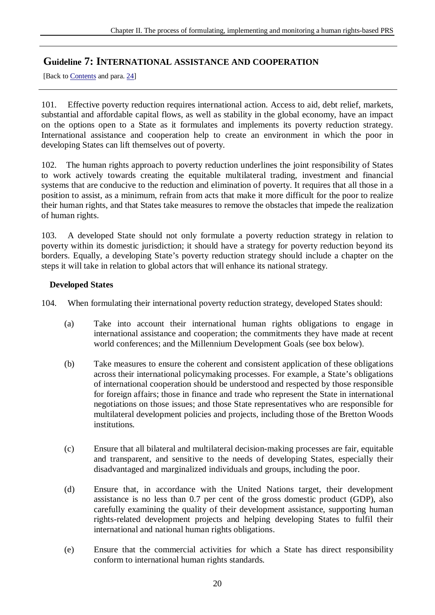## **Guideline 7: INTERNATIONAL ASSISTANCE AND COOPERATION**

[Back to Contents and para. 24]

101. Effective poverty reduction requires international action. Access to aid, debt relief, markets, substantial and affordable capital flows, as well as stability in the global economy, have an impact on the options open to a State as it formulates and implements its poverty reduction strategy. International assistance and cooperation help to create an environment in which the poor in developing States can lift themselves out of poverty.

102. The human rights approach to poverty reduction underlines the joint responsibility of States to work actively towards creating the equitable multilateral trading, investment and financial systems that are conducive to the reduction and elimination of poverty. It requires that all those in a position to assist, as a minimum, refrain from acts that make it more difficult for the poor to realize their human rights, and that States take measures to remove the obstacles that impede the realization of human rights.

103. A developed State should not only formulate a poverty reduction strategy in relation to poverty within its domestic jurisdiction; it should have a strategy for poverty reduction beyond its borders. Equally, a developing State's poverty reduction strategy should include a chapter on the steps it will take in relation to global actors that will enhance its national strategy.

#### **Developed States**

104. When formulating their international poverty reduction strategy, developed States should:

- (a) Take into account their international human rights obligations to engage in international assistance and cooperation; the commitments they have made at recent world conferences; and the Millennium Development Goals (see box below).
- (b) Take measures to ensure the coherent and consistent application of these obligations across their international policymaking processes. For example, a State's obligations of international cooperation should be understood and respected by those responsible for foreign affairs; those in finance and trade who represent the State in international negotiations on those issues; and those State representatives who are responsible for multilateral development policies and projects, including those of the Bretton Woods institutions.
- (c) Ensure that all bilateral and multilateral decision-making processes are fair, equitable and transparent, and sensitive to the needs of developing States, especially their disadvantaged and marginalized individuals and groups, including the poor.
- (d) Ensure that, in accordance with the United Nations target, their development assistance is no less than 0.7 per cent of the gross domestic product (GDP), also carefully examining the quality of their development assistance, supporting human rights-related development projects and helping developing States to fulfil their international and national human rights obligations.
- (e) Ensure that the commercial activities for which a State has direct responsibility conform to international human rights standards.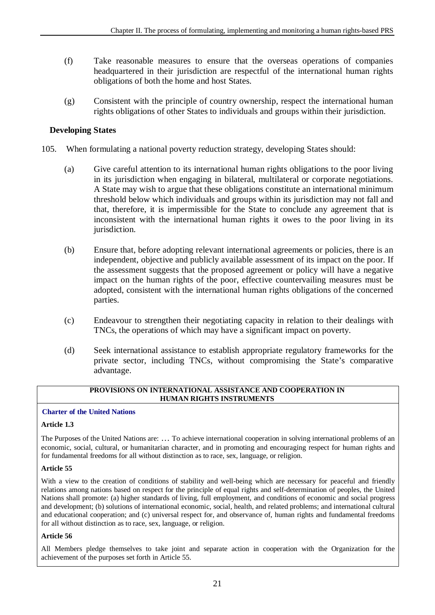- (f) Take reasonable measures to ensure that the overseas operations of companies headquartered in their jurisdiction are respectful of the international human rights obligations of both the home and host States.
- (g) Consistent with the principle of country ownership, respect the international human rights obligations of other States to individuals and groups within their jurisdiction.

#### **Developing States**

- 105. When formulating a national poverty reduction strategy, developing States should:
	- (a) Give careful attention to its international human rights obligations to the poor living in its jurisdiction when engaging in bilateral, multilateral or corporate negotiations. A State may wish to argue that these obligations constitute an international minimum threshold below which individuals and groups within its jurisdiction may not fall and that, therefore, it is impermissible for the State to conclude any agreement that is inconsistent with the international human rights it owes to the poor living in its jurisdiction.
	- (b) Ensure that, before adopting relevant international agreements or policies, there is an independent, objective and publicly available assessment of its impact on the poor. If the assessment suggests that the proposed agreement or policy will have a negative impact on the human rights of the poor, effective countervailing measures must be adopted, consistent with the international human rights obligations of the concerned parties.
	- (c) Endeavour to strengthen their negotiating capacity in relation to their dealings with TNCs, the operations of which may have a significant impact on poverty.
	- (d) Seek international assistance to establish appropriate regulatory frameworks for the private sector, including TNCs, without compromising the State's comparative advantage.

#### **PROVISIONS ON INTERNATIONAL ASSISTANCE AND COOPERATION IN HUMAN RIGHTS INSTRUMENTS**

#### **Charter of the United Nations**

#### **Article 1.3**

The Purposes of the United Nations are: … To achieve international cooperation in solving international problems of an economic, social, cultural, or humanitarian character, and in promoting and encouraging respect for human rights and for fundamental freedoms for all without distinction as to race, sex, language, or religion.

#### **Article 55**

With a view to the creation of conditions of stability and well-being which are necessary for peaceful and friendly relations among nations based on respect for the principle of equal rights and self-determination of peoples, the United Nations shall promote: (a) higher standards of living, full employment, and conditions of economic and social progress and development; (b) solutions of international economic, social, health, and related problems; and international cultural and educational cooperation; and (c) universal respect for, and observance of, human rights and fundamental freedoms for all without distinction as to race, sex, language, or religion.

#### **Article 56**

All Members pledge themselves to take joint and separate action in cooperation with the Organization for the achievement of the purposes set forth in Article 55.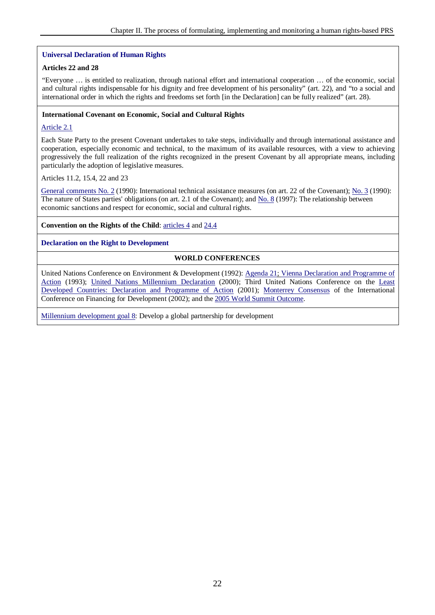#### **Universal Declaration of Human Rights**

#### **Articles 22 and 28**

"Everyone … is entitled to realization, through national effort and international cooperation … of the economic, social and cultural rights indispensable for his dignity and free development of his personality" (art. 22), and "to a social and international order in which the rights and freedoms set forth [in the Declaration] can be fully realized" (art. 28).

#### **International Covenant on Economic, Social and Cultural Rights**

#### Article 2.1

Each State Party to the present Covenant undertakes to take steps, individually and through international assistance and cooperation, especially economic and technical, to the maximum of its available resources, with a view to achieving progressively the full realization of the rights recognized in the present Covenant by all appropriate means, including particularly the adoption of legislative measures.

Articles 11.2, 15.4, 22 and 23

General comments No. 2 (1990): International technical assistance measures (on art. 22 of the Covenant): No. 3 (1990): The nature of States parties' obligations (on art. 2.1 of the Covenant); and No. 8 (1997): The relationship between economic sanctions and respect for economic, social and cultural rights.

**Convention on the Rights of the Child**: articles 4 and 24.4

**Declaration on the Right to Development**

#### **WORLD CONFERENCES**

United Nations Conference on Environment & Development (1992): Agenda 21; Vienna Declaration and Programme of Action (1993); United Nations Millennium Declaration (2000); Third United Nations Conference on the Least Developed Countries: Declaration and Programme of Action (2001); Monterrey Consensus of the International Conference on Financing for Development (2002); and the 2005 World Summit Outcome.

Millennium development goal 8: Develop a global partnership for development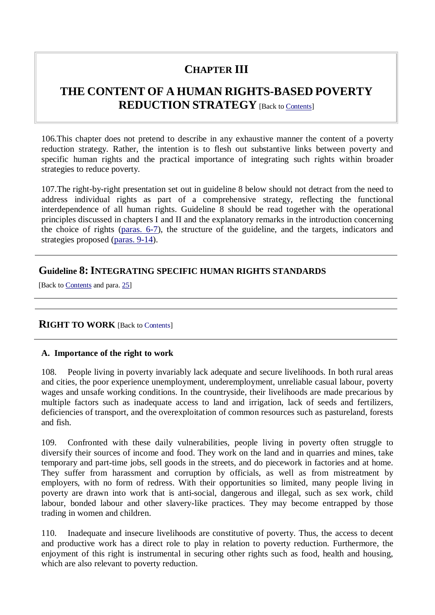## **CHAPTER III**

## **THE CONTENT OF A HUMAN RIGHTS-BASED POVERTY REDUCTION STRATEGY** [Back to Contents]

106.This chapter does not pretend to describe in any exhaustive manner the content of a poverty reduction strategy. Rather, the intention is to flesh out substantive links between poverty and specific human rights and the practical importance of integrating such rights within broader strategies to reduce poverty.

107.The right-by-right presentation set out in guideline 8 below should not detract from the need to address individual rights as part of a comprehensive strategy, reflecting the functional interdependence of all human rights. Guideline 8 should be read together with the operational principles discussed in chapters I and II and the explanatory remarks in the introduction concerning the choice of rights (paras. 6-7), the structure of the guideline, and the targets, indicators and strategies proposed (paras. 9-14).

## **Guideline 8:INTEGRATING SPECIFIC HUMAN RIGHTS STANDARDS**

[Back to Contents and para. 25]

#### **RIGHT TO WORK** [Back to Contents]

#### **A. Importance of the right to work**

108. People living in poverty invariably lack adequate and secure livelihoods. In both rural areas and cities, the poor experience unemployment, underemployment, unreliable casual labour, poverty wages and unsafe working conditions. In the countryside, their livelihoods are made precarious by multiple factors such as inadequate access to land and irrigation, lack of seeds and fertilizers, deficiencies of transport, and the overexploitation of common resources such as pastureland, forests and fish.

109. Confronted with these daily vulnerabilities, people living in poverty often struggle to diversify their sources of income and food. They work on the land and in quarries and mines, take temporary and part-time jobs, sell goods in the streets, and do piecework in factories and at home. They suffer from harassment and corruption by officials, as well as from mistreatment by employers, with no form of redress. With their opportunities so limited, many people living in poverty are drawn into work that is anti-social, dangerous and illegal, such as sex work, child labour, bonded labour and other slavery-like practices. They may become entrapped by those trading in women and children.

110. Inadequate and insecure livelihoods are constitutive of poverty. Thus, the access to decent and productive work has a direct role to play in relation to poverty reduction. Furthermore, the enjoyment of this right is instrumental in securing other rights such as food, health and housing, which are also relevant to poverty reduction.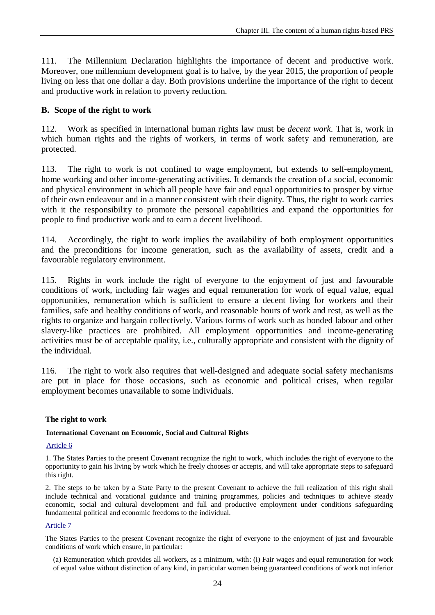111. The Millennium Declaration highlights the importance of decent and productive work. Moreover, one millennium development goal is to halve, by the year 2015, the proportion of people living on less that one dollar a day. Both provisions underline the importance of the right to decent and productive work in relation to poverty reduction.

#### **B. Scope of the right to work**

112. Work as specified in international human rights law must be *decent work*. That is, work in which human rights and the rights of workers, in terms of work safety and remuneration, are protected.

113. The right to work is not confined to wage employment, but extends to self-employment, home working and other income-generating activities. It demands the creation of a social, economic and physical environment in which all people have fair and equal opportunities to prosper by virtue of their own endeavour and in a manner consistent with their dignity. Thus, the right to work carries with it the responsibility to promote the personal capabilities and expand the opportunities for people to find productive work and to earn a decent livelihood.

114. Accordingly, the right to work implies the availability of both employment opportunities and the preconditions for income generation, such as the availability of assets, credit and a favourable regulatory environment.

115. Rights in work include the right of everyone to the enjoyment of just and favourable conditions of work, including fair wages and equal remuneration for work of equal value, equal opportunities, remuneration which is sufficient to ensure a decent living for workers and their families, safe and healthy conditions of work, and reasonable hours of work and rest, as well as the rights to organize and bargain collectively. Various forms of work such as bonded labour and other slavery-like practices are prohibited. All employment opportunities and income-generating activities must be of acceptable quality, i.e., culturally appropriate and consistent with the dignity of the individual.

116. The right to work also requires that well-designed and adequate social safety mechanisms are put in place for those occasions, such as economic and political crises, when regular employment becomes unavailable to some individuals.

#### **The right to work**

#### **International Covenant on Economic, Social and Cultural Rights**

#### Article 6

1. The States Parties to the present Covenant recognize the right to work, which includes the right of everyone to the opportunity to gain his living by work which he freely chooses or accepts, and will take appropriate steps to safeguard this right.

2. The steps to be taken by a State Party to the present Covenant to achieve the full realization of this right shall include technical and vocational guidance and training programmes, policies and techniques to achieve steady economic, social and cultural development and full and productive employment under conditions safeguarding fundamental political and economic freedoms to the individual.

#### Article 7

The States Parties to the present Covenant recognize the right of everyone to the enjoyment of just and favourable conditions of work which ensure, in particular:

(a) Remuneration which provides all workers, as a minimum, with: (i) Fair wages and equal remuneration for work of equal value without distinction of any kind, in particular women being guaranteed conditions of work not inferior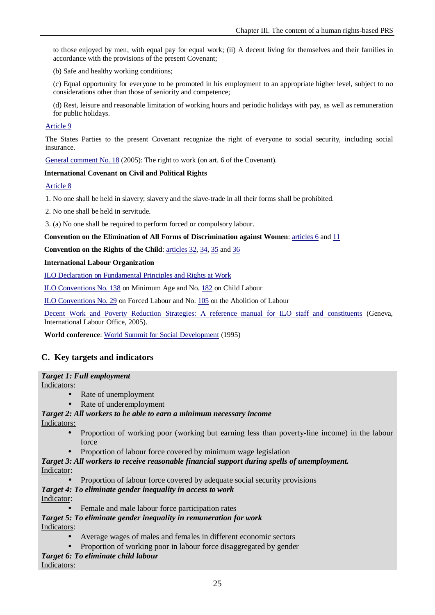to those enjoyed by men, with equal pay for equal work; (ii) A decent living for themselves and their families in accordance with the provisions of the present Covenant;

(b) Safe and healthy working conditions;

(c) Equal opportunity for everyone to be promoted in his employment to an appropriate higher level, subject to no considerations other than those of seniority and competence;

(d) Rest, leisure and reasonable limitation of working hours and periodic holidays with pay, as well as remuneration for public holidays.

#### Article 9

The States Parties to the present Covenant recognize the right of everyone to social security, including social insurance.

General comment No. 18 (2005): The right to work (on art. 6 of the Covenant).

#### **International Covenant on Civil and Political Rights**

#### Article 8

1. No one shall be held in slavery; slavery and the slave-trade in all their forms shall be prohibited.

2. No one shall be held in servitude.

3. (a) No one shall be required to perform forced or compulsory labour.

#### **Convention on the Elimination of All Forms of Discrimination against Women**: articles 6 and 11

**Convention on the Rights of the Child**: articles 32, 34, 35 and 36

#### **International Labour Organization**

ILO Declaration on Fundamental Principles and Rights at Work

ILO Conventions No. 138 on Minimum Age and No. 182 on Child Labour

ILO Conventions No. 29 on Forced Labour and No. 105 on the Abolition of Labour

Decent Work and Poverty Reduction Strategies: A reference manual for ILO staff and constituents (Geneva, International Labour Office, 2005).

**World conference**: World Summit for Social Development (1995)

#### **C. Key targets and indicators**

#### *Target 1: Full employment*

#### Indicators:

- Rate of unemployment
- Rate of underemployment

## *Target 2: All workers to be able to earn a minimum necessary income*

Indicators:

- Proportion of working poor (working but earning less than poverty-line income) in the labour force
- Proportion of labour force covered by minimum wage legislation
- *Target 3: All workers to receive reasonable financial support during spells of unemployment.* Indicator:
	- Proportion of labour force covered by adequate social security provisions

#### *Target 4: To eliminate gender inequality in access to work*

Indicator:

• Female and male labour force participation rates

#### *Target 5: To eliminate gender inequality in remuneration for work* Indicators:

- Average wages of males and females in different economic sectors
- Proportion of working poor in labour force disaggregated by gender

#### *Target 6: To eliminate child labour*

Indicators: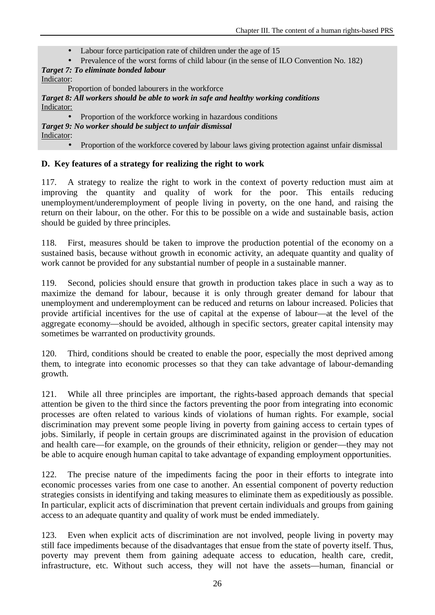- Labour force participation rate of children under the age of 15
- Prevalence of the worst forms of child labour (in the sense of ILO Convention No. 182)

## *Target 7: To eliminate bonded labour*

Indicator:

Proportion of bonded labourers in the workforce

*Target 8: All workers should be able to work in safe and healthy working conditions* Indicator:

• Proportion of the workforce working in hazardous conditions

*Target 9: No worker should be subject to unfair dismissal*

Indicator:

• Proportion of the workforce covered by labour laws giving protection against unfair dismissal

#### **D. Key features of a strategy for realizing the right to work**

117. A strategy to realize the right to work in the context of poverty reduction must aim at improving the quantity and quality of work for the poor. This entails reducing unemployment/underemployment of people living in poverty, on the one hand, and raising the return on their labour, on the other. For this to be possible on a wide and sustainable basis, action should be guided by three principles.

118. First, measures should be taken to improve the production potential of the economy on a sustained basis, because without growth in economic activity, an adequate quantity and quality of work cannot be provided for any substantial number of people in a sustainable manner.

119. Second, policies should ensure that growth in production takes place in such a way as to maximize the demand for labour, because it is only through greater demand for labour that unemployment and underemployment can be reduced and returns on labour increased. Policies that provide artificial incentives for the use of capital at the expense of labour—at the level of the aggregate economy—should be avoided, although in specific sectors, greater capital intensity may sometimes be warranted on productivity grounds.

120. Third, conditions should be created to enable the poor, especially the most deprived among them, to integrate into economic processes so that they can take advantage of labour-demanding growth.

121. While all three principles are important, the rights-based approach demands that special attention be given to the third since the factors preventing the poor from integrating into economic processes are often related to various kinds of violations of human rights. For example, social discrimination may prevent some people living in poverty from gaining access to certain types of jobs. Similarly, if people in certain groups are discriminated against in the provision of education and health care—for example, on the grounds of their ethnicity, religion or gender—they may not be able to acquire enough human capital to take advantage of expanding employment opportunities.

122. The precise nature of the impediments facing the poor in their efforts to integrate into economic processes varies from one case to another. An essential component of poverty reduction strategies consists in identifying and taking measures to eliminate them as expeditiously as possible. In particular, explicit acts of discrimination that prevent certain individuals and groups from gaining access to an adequate quantity and quality of work must be ended immediately.

123. Even when explicit acts of discrimination are not involved, people living in poverty may still face impediments because of the disadvantages that ensue from the state of poverty itself. Thus, poverty may prevent them from gaining adequate access to education, health care, credit, infrastructure, etc. Without such access, they will not have the assets—human, financial or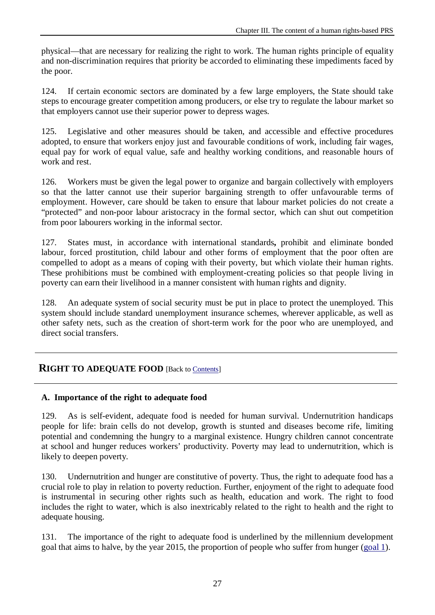physical—that are necessary for realizing the right to work. The human rights principle of equality and non-discrimination requires that priority be accorded to eliminating these impediments faced by the poor.

124. If certain economic sectors are dominated by a few large employers, the State should take steps to encourage greater competition among producers, or else try to regulate the labour market so that employers cannot use their superior power to depress wages.

125. Legislative and other measures should be taken, and accessible and effective procedures adopted, to ensure that workers enjoy just and favourable conditions of work, including fair wages, equal pay for work of equal value, safe and healthy working conditions, and reasonable hours of work and rest.

126. Workers must be given the legal power to organize and bargain collectively with employers so that the latter cannot use their superior bargaining strength to offer unfavourable terms of employment. However, care should be taken to ensure that labour market policies do not create a "protected" and non-poor labour aristocracy in the formal sector, which can shut out competition from poor labourers working in the informal sector.

127. States must, in accordance with international standards**,** prohibit and eliminate bonded labour, forced prostitution, child labour and other forms of employment that the poor often are compelled to adopt as a means of coping with their poverty, but which violate their human rights. These prohibitions must be combined with employment-creating policies so that people living in poverty can earn their livelihood in a manner consistent with human rights and dignity.

128. An adequate system of social security must be put in place to protect the unemployed. This system should include standard unemployment insurance schemes, wherever applicable, as well as other safety nets, such as the creation of short-term work for the poor who are unemployed, and direct social transfers.

## **RIGHT TO ADEQUATE FOOD** [Back to Contents]

## **A. Importance of the right to adequate food**

129. As is self-evident, adequate food is needed for human survival. Undernutrition handicaps people for life: brain cells do not develop, growth is stunted and diseases become rife, limiting potential and condemning the hungry to a marginal existence. Hungry children cannot concentrate at school and hunger reduces workers' productivity. Poverty may lead to undernutrition, which is likely to deepen poverty.

130. Undernutrition and hunger are constitutive of poverty. Thus, the right to adequate food has a crucial role to play in relation to poverty reduction. Further, enjoyment of the right to adequate food is instrumental in securing other rights such as health, education and work. The right to food includes the right to water, which is also inextricably related to the right to health and the right to adequate housing.

131. The importance of the right to adequate food is underlined by the millennium development goal that aims to halve, by the year 2015, the proportion of people who suffer from hunger (goal 1).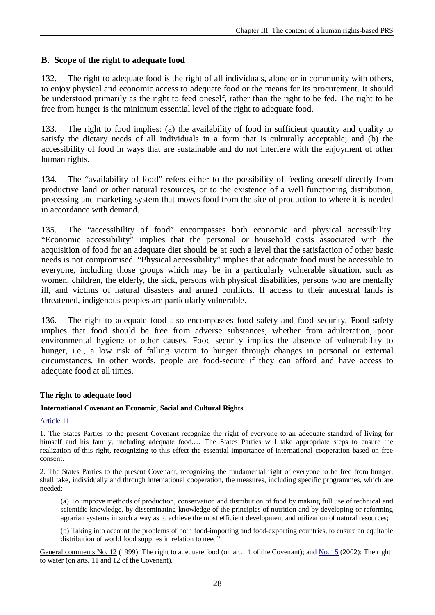#### **B. Scope of the right to adequate food**

132. The right to adequate food is the right of all individuals, alone or in community with others, to enjoy physical and economic access to adequate food or the means for its procurement. It should be understood primarily as the right to feed oneself, rather than the right to be fed. The right to be free from hunger is the minimum essential level of the right to adequate food.

133. The right to food implies: (a) the availability of food in sufficient quantity and quality to satisfy the dietary needs of all individuals in a form that is culturally acceptable; and (b) the accessibility of food in ways that are sustainable and do not interfere with the enjoyment of other human rights.

134. The "availability of food" refers either to the possibility of feeding oneself directly from productive land or other natural resources, or to the existence of a well functioning distribution, processing and marketing system that moves food from the site of production to where it is needed in accordance with demand.

135. The "accessibility of food" encompasses both economic and physical accessibility. "Economic accessibility" implies that the personal or household costs associated with the acquisition of food for an adequate diet should be at such a level that the satisfaction of other basic needs is not compromised. "Physical accessibility" implies that adequate food must be accessible to everyone, including those groups which may be in a particularly vulnerable situation, such as women, children, the elderly, the sick, persons with physical disabilities, persons who are mentally ill, and victims of natural disasters and armed conflicts. If access to their ancestral lands is threatened, indigenous peoples are particularly vulnerable.

136. The right to adequate food also encompasses food safety and food security. Food safety implies that food should be free from adverse substances, whether from adulteration, poor environmental hygiene or other causes. Food security implies the absence of vulnerability to hunger, i.e., a low risk of falling victim to hunger through changes in personal or external circumstances. In other words, people are food-secure if they can afford and have access to adequate food at all times.

#### **The right to adequate food**

#### **International Covenant on Economic, Social and Cultural Rights**

#### Article 11

1. The States Parties to the present Covenant recognize the right of everyone to an adequate standard of living for himself and his family, including adequate food.… The States Parties will take appropriate steps to ensure the realization of this right, recognizing to this effect the essential importance of international cooperation based on free consent.

2. The States Parties to the present Covenant, recognizing the fundamental right of everyone to be free from hunger, shall take, individually and through international cooperation, the measures, including specific programmes, which are needed:

(a) To improve methods of production, conservation and distribution of food by making full use of technical and scientific knowledge, by disseminating knowledge of the principles of nutrition and by developing or reforming agrarian systems in such a way as to achieve the most efficient development and utilization of natural resources;

(b) Taking into account the problems of both food-importing and food-exporting countries, to ensure an equitable distribution of world food supplies in relation to need".

General comments No. 12 (1999): The right to adequate food (on art. 11 of the Covenant); and No. 15 (2002): The right to water (on arts. 11 and 12 of the Covenant).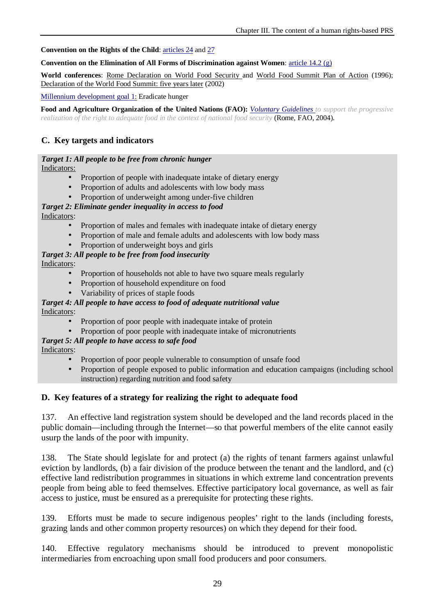#### **Convention on the Rights of the Child**: articles 24 and 27

#### **Convention on the Elimination of All Forms of Discrimination against Women**: article 14.2 (g)

**World conferences**: Rome Declaration on World Food Security and World Food Summit Plan of Action (1996); Declaration of the World Food Summit: five years later (2002)

Millennium development goal 1: Eradicate hunger

**Food and Agriculture Organization of the United Nations (FAO):** *Voluntary Guidelines to support the progressive realization of the right to adequate food in the context of national food security* (Rome, FAO, 2004).

#### **C. Key targets and indicators**

#### *Target 1: All people to be free from chronic hunger* Indicators:

- Proportion of people with inadequate intake of dietary energy
- Proportion of adults and adolescents with low body mass
- Proportion of underweight among under-five children

#### *Target 2: Eliminate gender inequality in access to food* Indicators:

- Proportion of males and females with inadequate intake of dietary energy
- Proportion of male and female adults and adolescents with low body mass
- Proportion of underweight boys and girls

#### *Target 3: All people to be free from food insecurity*

Indicators:

- Proportion of households not able to have two square meals regularly
- Proportion of household expenditure on food
- Variability of prices of staple foods

#### *Target 4: All people to have access to food of adequate nutritional value* Indicators:

- Proportion of poor people with inadequate intake of protein
- Proportion of poor people with inadequate intake of micronutrients

#### *Target 5: All people to have access to safe food* Indicators:

- Proportion of poor people vulnerable to consumption of unsafe food
- Proportion of people exposed to public information and education campaigns (including school instruction) regarding nutrition and food safety

#### **D. Key features of a strategy for realizing the right to adequate food**

137. An effective land registration system should be developed and the land records placed in the public domain—including through the Internet—so that powerful members of the elite cannot easily usurp the lands of the poor with impunity.

138. The State should legislate for and protect (a) the rights of tenant farmers against unlawful eviction by landlords, (b) a fair division of the produce between the tenant and the landlord, and (c) effective land redistribution programmes in situations in which extreme land concentration prevents people from being able to feed themselves. Effective participatory local governance, as well as fair access to justice, must be ensured as a prerequisite for protecting these rights.

139. Efforts must be made to secure indigenous peoples' right to the lands (including forests, grazing lands and other common property resources) on which they depend for their food.

140. Effective regulatory mechanisms should be introduced to prevent monopolistic intermediaries from encroaching upon small food producers and poor consumers.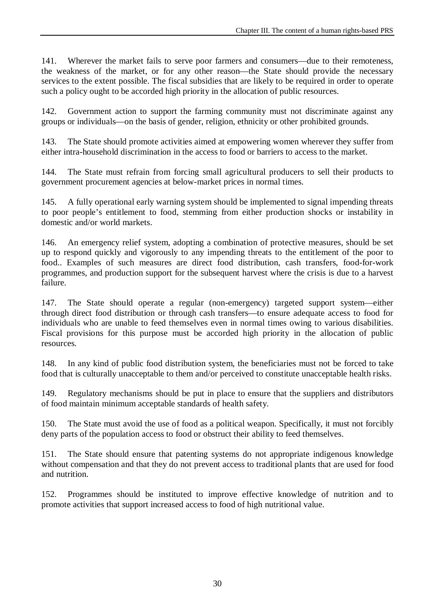141. Wherever the market fails to serve poor farmers and consumers—due to their remoteness, the weakness of the market, or for any other reason—the State should provide the necessary services to the extent possible. The fiscal subsidies that are likely to be required in order to operate such a policy ought to be accorded high priority in the allocation of public resources.

142. Government action to support the farming community must not discriminate against any groups or individuals—on the basis of gender, religion, ethnicity or other prohibited grounds.

143. The State should promote activities aimed at empowering women wherever they suffer from either intra-household discrimination in the access to food or barriers to access to the market.

144. The State must refrain from forcing small agricultural producers to sell their products to government procurement agencies at below-market prices in normal times.

145. A fully operational early warning system should be implemented to signal impending threats to poor people's entitlement to food, stemming from either production shocks or instability in domestic and/or world markets.

146. An emergency relief system, adopting a combination of protective measures, should be set up to respond quickly and vigorously to any impending threats to the entitlement of the poor to food.. Examples of such measures are direct food distribution, cash transfers, food-for-work programmes, and production support for the subsequent harvest where the crisis is due to a harvest failure.

147. The State should operate a regular (non-emergency) targeted support system—either through direct food distribution or through cash transfers—to ensure adequate access to food for individuals who are unable to feed themselves even in normal times owing to various disabilities. Fiscal provisions for this purpose must be accorded high priority in the allocation of public resources.

148. In any kind of public food distribution system, the beneficiaries must not be forced to take food that is culturally unacceptable to them and/or perceived to constitute unacceptable health risks.

149. Regulatory mechanisms should be put in place to ensure that the suppliers and distributors of food maintain minimum acceptable standards of health safety.

150. The State must avoid the use of food as a political weapon. Specifically, it must not forcibly deny parts of the population access to food or obstruct their ability to feed themselves.

151. The State should ensure that patenting systems do not appropriate indigenous knowledge without compensation and that they do not prevent access to traditional plants that are used for food and nutrition.

152. Programmes should be instituted to improve effective knowledge of nutrition and to promote activities that support increased access to food of high nutritional value.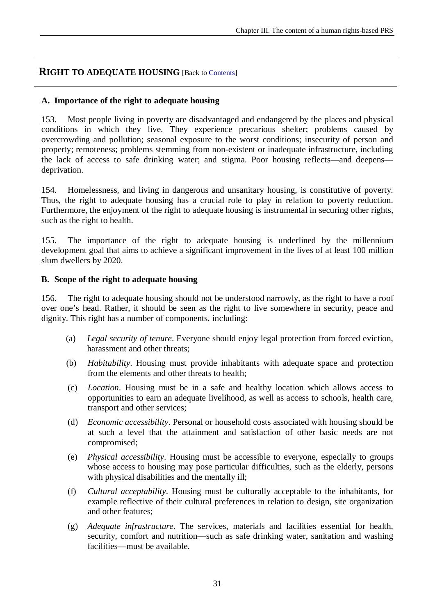## **RIGHT TO ADEQUATE HOUSING** [Back to Contents]

#### **A. Importance of the right to adequate housing**

153. Most people living in poverty are disadvantaged and endangered by the places and physical conditions in which they live. They experience precarious shelter; problems caused by overcrowding and pollution; seasonal exposure to the worst conditions; insecurity of person and property; remoteness; problems stemming from non-existent or inadequate infrastructure, including the lack of access to safe drinking water; and stigma. Poor housing reflects—and deepens deprivation.

154. Homelessness, and living in dangerous and unsanitary housing, is constitutive of poverty. Thus, the right to adequate housing has a crucial role to play in relation to poverty reduction. Furthermore, the enjoyment of the right to adequate housing is instrumental in securing other rights, such as the right to health.

155. The importance of the right to adequate housing is underlined by the millennium development goal that aims to achieve a significant improvement in the lives of at least 100 million slum dwellers by 2020.

#### **B. Scope of the right to adequate housing**

156. The right to adequate housing should not be understood narrowly, as the right to have a roof over one's head. Rather, it should be seen as the right to live somewhere in security, peace and dignity. This right has a number of components, including:

- (a) *Legal security of tenure*. Everyone should enjoy legal protection from forced eviction, harassment and other threats;
- (b) *Habitability*. Housing must provide inhabitants with adequate space and protection from the elements and other threats to health;
- (c) *Location*. Housing must be in a safe and healthy location which allows access to opportunities to earn an adequate livelihood, as well as access to schools, health care, transport and other services;
- (d) *Economic accessibility*. Personal or household costs associated with housing should be at such a level that the attainment and satisfaction of other basic needs are not compromised;
- (e) *Physical accessibility*. Housing must be accessible to everyone, especially to groups whose access to housing may pose particular difficulties, such as the elderly, persons with physical disabilities and the mentally ill;
- (f) *Cultural acceptability*. Housing must be culturally acceptable to the inhabitants, for example reflective of their cultural preferences in relation to design, site organization and other features;
- (g) *Adequate infrastructure*. The services, materials and facilities essential for health, security, comfort and nutrition—such as safe drinking water, sanitation and washing facilities—must be available.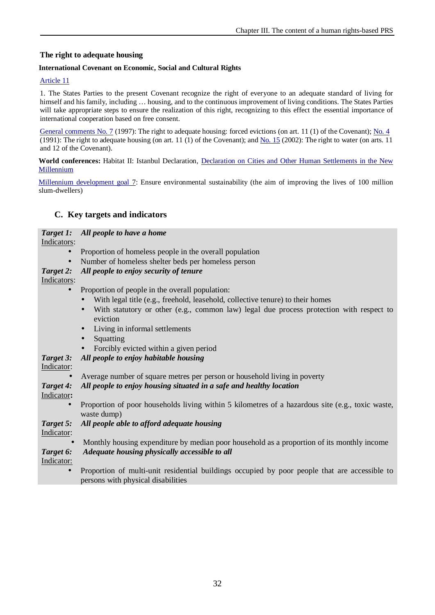#### **The right to adequate housing**

#### **International Covenant on Economic, Social and Cultural Rights**

#### Article 11

1. The States Parties to the present Covenant recognize the right of everyone to an adequate standard of living for himself and his family, including ... housing, and to the continuous improvement of living conditions. The States Parties will take appropriate steps to ensure the realization of this right, recognizing to this effect the essential importance of international cooperation based on free consent.

General comments No. 7 (1997): The right to adequate housing: forced evictions (on art. 11 (1) of the Covenant); No. 4 (1991): The right to adequate housing (on art. 11 (1) of the Covenant); and No. 15 (2002): The right to water (on arts. 11 and 12 of the Covenant).

**World conferences:** Habitat II: Istanbul Declaration, Declaration on Cities and Other Human Settlements in the New Millennium

Millennium development goal 7: Ensure environmental sustainability (the aim of improving the lives of 100 million slum-dwellers)

#### **C. Key targets and indicators**

|                         | Target 1: All people to have a home                                                                                                 |
|-------------------------|-------------------------------------------------------------------------------------------------------------------------------------|
| Indicators:             |                                                                                                                                     |
| $\bullet$               | Proportion of homeless people in the overall population                                                                             |
| $\bullet$               | Number of homeless shelter beds per homeless person                                                                                 |
| Target 2:               | All people to enjoy security of tenure                                                                                              |
| Indicators:             |                                                                                                                                     |
| $\bullet$               | Proportion of people in the overall population:                                                                                     |
|                         | With legal title (e.g., freehold, leasehold, collective tenure) to their homes                                                      |
|                         | With statutory or other (e.g., common law) legal due process protection with respect to<br>eviction                                 |
|                         | Living in informal settlements                                                                                                      |
|                         | Squatting<br>$\bullet$                                                                                                              |
|                         | Forcibly evicted within a given period<br>$\bullet$                                                                                 |
| Target 3:<br>Indicator: | All people to enjoy habitable housing                                                                                               |
|                         | Average number of square metres per person or household living in poverty                                                           |
| Target 4:<br>Indicator: | All people to enjoy housing situated in a safe and healthy location                                                                 |
|                         | Proportion of poor households living within 5 kilometres of a hazardous site (e.g., toxic waste,<br>waste dump)                     |
| Target 5:<br>Indicator: | All people able to afford adequate housing                                                                                          |
| $\bullet$               | Monthly housing expenditure by median poor household as a proportion of its monthly income                                          |
| Target 6:<br>Indicator: | Adequate housing physically accessible to all                                                                                       |
|                         | Proportion of multi-unit residential buildings occupied by poor people that are accessible to<br>persons with physical disabilities |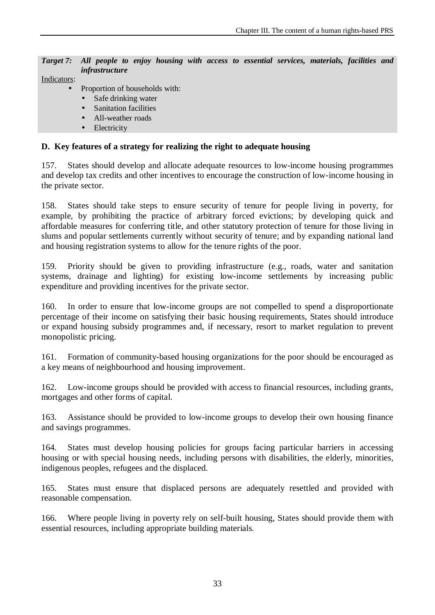*Target 7: All people to enjoy housing with access to essential services, materials, facilities and infrastructure*

#### Indicators:

- Proportion of households with:
	- Safe drinking water
	- Sanitation facilities
	- All-weather roads
	- Electricity

## **D. Key features of a strategy for realizing the right to adequate housing**

157. States should develop and allocate adequate resources to low-income housing programmes and develop tax credits and other incentives to encourage the construction of low-income housing in the private sector.

158. States should take steps to ensure security of tenure for people living in poverty, for example, by prohibiting the practice of arbitrary forced evictions; by developing quick and affordable measures for conferring title, and other statutory protection of tenure for those living in slums and popular settlements currently without security of tenure; and by expanding national land and housing registration systems to allow for the tenure rights of the poor.

159. Priority should be given to providing infrastructure (e.g., roads, water and sanitation systems, drainage and lighting) for existing low-income settlements by increasing public expenditure and providing incentives for the private sector.

160. In order to ensure that low-income groups are not compelled to spend a disproportionate percentage of their income on satisfying their basic housing requirements, States should introduce or expand housing subsidy programmes and, if necessary, resort to market regulation to prevent monopolistic pricing.

161. Formation of community-based housing organizations for the poor should be encouraged as a key means of neighbourhood and housing improvement.

162. Low-income groups should be provided with access to financial resources, including grants, mortgages and other forms of capital.

163. Assistance should be provided to low-income groups to develop their own housing finance and savings programmes.

164. States must develop housing policies for groups facing particular barriers in accessing housing or with special housing needs, including persons with disabilities, the elderly, minorities, indigenous peoples, refugees and the displaced.

165. States must ensure that displaced persons are adequately resettled and provided with reasonable compensation.

166. Where people living in poverty rely on self-built housing, States should provide them with essential resources, including appropriate building materials.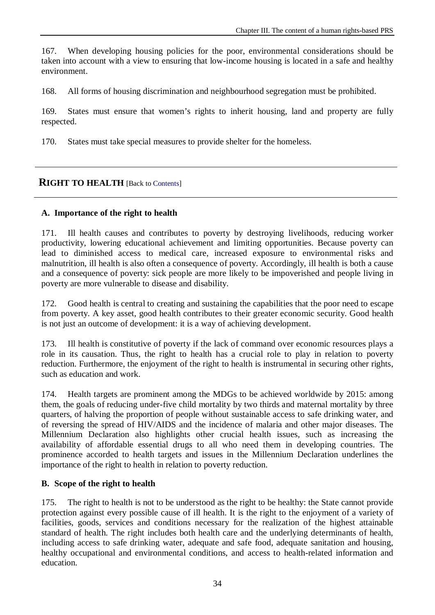167. When developing housing policies for the poor, environmental considerations should be taken into account with a view to ensuring that low-income housing is located in a safe and healthy environment.

168. All forms of housing discrimination and neighbourhood segregation must be prohibited.

169. States must ensure that women's rights to inherit housing, land and property are fully respected.

170. States must take special measures to provide shelter for the homeless.

## **RIGHT TO HEALTH** [Back to Contents]

#### **A. Importance of the right to health**

171. Ill health causes and contributes to poverty by destroying livelihoods, reducing worker productivity, lowering educational achievement and limiting opportunities. Because poverty can lead to diminished access to medical care, increased exposure to environmental risks and malnutrition, ill health is also often a consequence of poverty. Accordingly, ill health is both a cause and a consequence of poverty: sick people are more likely to be impoverished and people living in poverty are more vulnerable to disease and disability.

172. Good health is central to creating and sustaining the capabilities that the poor need to escape from poverty. A key asset, good health contributes to their greater economic security. Good health is not just an outcome of development: it is a way of achieving development.

173. Ill health is constitutive of poverty if the lack of command over economic resources plays a role in its causation. Thus, the right to health has a crucial role to play in relation to poverty reduction. Furthermore, the enjoyment of the right to health is instrumental in securing other rights, such as education and work.

174. Health targets are prominent among the MDGs to be achieved worldwide by 2015: among them, the goals of reducing under-five child mortality by two thirds and maternal mortality by three quarters, of halving the proportion of people without sustainable access to safe drinking water, and of reversing the spread of HIV/AIDS and the incidence of malaria and other major diseases. The Millennium Declaration also highlights other crucial health issues, such as increasing the availability of affordable essential drugs to all who need them in developing countries. The prominence accorded to health targets and issues in the Millennium Declaration underlines the importance of the right to health in relation to poverty reduction.

#### **B. Scope of the right to health**

175. The right to health is not to be understood as the right to be healthy: the State cannot provide protection against every possible cause of ill health. It is the right to the enjoyment of a variety of facilities, goods, services and conditions necessary for the realization of the highest attainable standard of health. The right includes both health care and the underlying determinants of health, including access to safe drinking water, adequate and safe food, adequate sanitation and housing, healthy occupational and environmental conditions, and access to health-related information and education.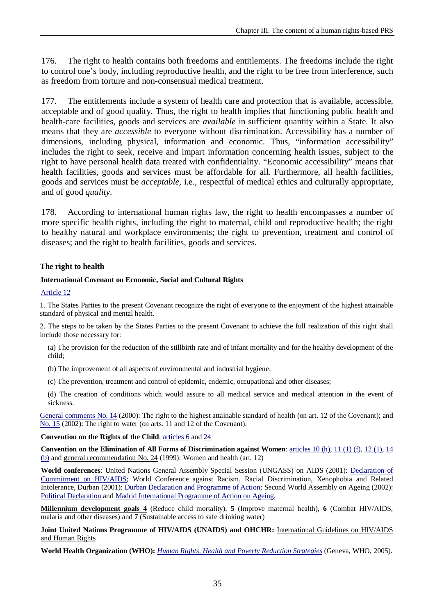176. The right to health contains both freedoms and entitlements. The freedoms include the right to control one's body, including reproductive health, and the right to be free from interference, such as freedom from torture and non-consensual medical treatment.

177. The entitlements include a system of health care and protection that is available, accessible, acceptable and of good quality. Thus, the right to health implies that functioning public health and health-care facilities, goods and services are *available* in sufficient quantity within a State. It also means that they are *accessible* to everyone without discrimination. Accessibility has a number of dimensions, including physical, information and economic. Thus, "information accessibility" includes the right to seek, receive and impart information concerning health issues, subject to the right to have personal health data treated with confidentiality. "Economic accessibility" means that health facilities, goods and services must be affordable for all. Furthermore, all health facilities, goods and services must be *acceptable*, i.e., respectful of medical ethics and culturally appropriate, and of good *quality*.

178. According to international human rights law, the right to health encompasses a number of more specific health rights, including the right to maternal, child and reproductive health; the right to healthy natural and workplace environments; the right to prevention, treatment and control of diseases; and the right to health facilities, goods and services.

#### **The right to health**

#### **International Covenant on Economic, Social and Cultural Rights**

#### Article 12

1. The States Parties to the present Covenant recognize the right of everyone to the enjoyment of the highest attainable standard of physical and mental health.

2. The steps to be taken by the States Parties to the present Covenant to achieve the full realization of this right shall include those necessary for:

(a) The provision for the reduction of the stillbirth rate and of infant mortality and for the healthy development of the child;

(b) The improvement of all aspects of environmental and industrial hygiene;

(c) The prevention, treatment and control of epidemic, endemic, occupational and other diseases;

(d) The creation of conditions which would assure to all medical service and medical attention in the event of sickness.

General comments No. 14 (2000): The right to the highest attainable standard of health (on art. 12 of the Covenant); and No. 15 (2002): The right to water (on arts. 11 and 12 of the Covenant).

**Convention on the Rights of the Child**: articles 6 and 24

**Convention on the Elimination of All Forms of Discrimination against Women**: articles 10 (h), 11 (1) (f), 12 (1), 14 (b) and general recommendation No. 24 (1999): Women and health (art. 12)

**World conferences**: United Nations General Assembly Special Session (UNGASS) on AIDS (2001): Declaration of Commitment on HIV/AIDS; World Conference against Racism, Racial Discrimination, Xenophobia and Related Intolerance, Durban (2001): Durban Declaration and Programme of Action; Second World Assembly on Ageing (2002): Political Declaration and Madrid International Programme of Action on Ageing.

**Millennium development goals 4** (Reduce child mortality), **5** (Improve maternal health), **6** (Combat HIV/AIDS, malaria and other diseases) and **7** (Sustainable access to safe drinking water)

**Joint United Nations Programme of HIV/AIDS (UNAIDS) and OHCHR:** International Guidelines on HIV/AIDS and Human Rights

**World Health Organization (WHO):** *Human Rights, Health and Poverty Reduction Strategies* (Geneva, WHO, 2005).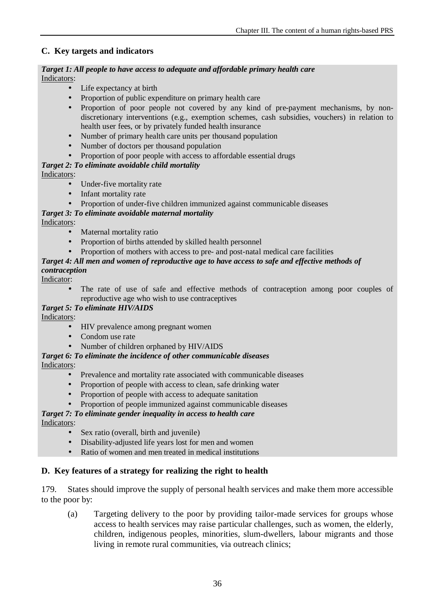## **C. Key targets and indicators**

#### *Target 1: All people to have access to adequate and affordable primary health care* Indicators:

- Life expectancy at birth
- Proportion of public expenditure on primary health care
- Proportion of poor people not covered by any kind of pre-payment mechanisms, by nondiscretionary interventions (e.g., exemption schemes, cash subsidies, vouchers) in relation to health user fees, or by privately funded health insurance
- Number of primary health care units per thousand population
- Number of doctors per thousand population
- Proportion of poor people with access to affordable essential drugs

## *Target 2: To eliminate avoidable child mortality*

Indicators:

- Under-five mortality rate
- Infant mortality rate
- Proportion of under-five children immunized against communicable diseases

#### *Target 3: To eliminate avoidable maternal mortality*

Indicators:

- Maternal mortality ratio
- Proportion of births attended by skilled health personnel
- Proportion of mothers with access to pre- and post-natal medical care facilities

#### *Target 4: All men and women of reproductive age to have access to safe and effective methods of contraception*

Indicator:

The rate of use of safe and effective methods of contraception among poor couples of reproductive age who wish to use contraceptives

#### *Target 5: To eliminate HIV/AIDS*

Indicators:

- HIV prevalence among pregnant women
- Condom use rate
- Number of children orphaned by HIV/AIDS

#### *Target 6: To eliminate the incidence of other communicable diseases*

Indicators:

- Prevalence and mortality rate associated with communicable diseases
- Proportion of people with access to clean, safe drinking water
- Proportion of people with access to adequate sanitation
- Proportion of people immunized against communicable diseases

#### *Target 7: To eliminate gender inequality in access to health care* Indicators:

- Sex ratio (overall, birth and juvenile)
- Disability-adjusted life years lost for men and women
- Ratio of women and men treated in medical institutions

#### **D. Key features of a strategy for realizing the right to health**

179. States should improve the supply of personal health services and make them more accessible to the poor by:

(a) Targeting delivery to the poor by providing tailor-made services for groups whose access to health services may raise particular challenges, such as women, the elderly*,* children, indigenous peoples*,* minorities, slum-dwellers, labour migrants and those living in remote rural communities, via outreach clinics;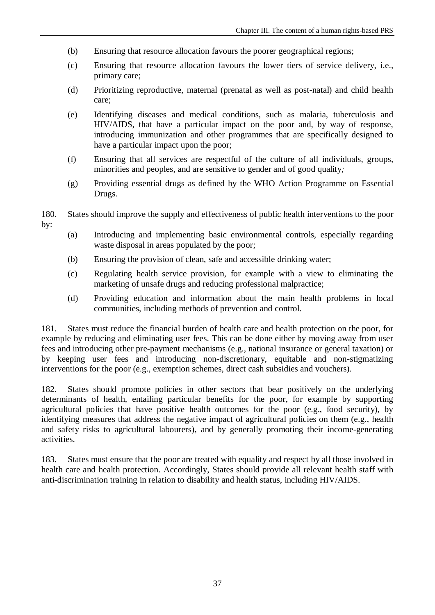- (b) Ensuring that resource allocation favours the poorer geographical regions;
- (c) Ensuring that resource allocation favours the lower tiers of service delivery, i.e., primary care;
- (d) Prioritizing reproductive, maternal (prenatal as well as post-natal) and child health care;
- (e) Identifying diseases and medical conditions, such as malaria, tuberculosis and HIV/AIDS, that have a particular impact on the poor and, by way of response, introducing immunization and other programmes that are specifically designed to have a particular impact upon the poor;
- (f) Ensuring that all services are respectful of the culture of all individuals, groups, minorities and peoples, and are sensitive to gender and of good quality*;*
- (g) Providing essential drugs as defined by the WHO Action Programme on Essential Drugs.
- 180. States should improve the supply and effectiveness of public health interventions to the poor by:
	- (a) Introducing and implementing basic environmental controls, especially regarding waste disposal in areas populated by the poor:
	- (b) Ensuring the provision of clean, safe and accessible drinking water;
	- (c) Regulating health service provision, for example with a view to eliminating the marketing of unsafe drugs and reducing professional malpractice;
	- (d) Providing education and information about the main health problems in local communities, including methods of prevention and control.

181. States must reduce the financial burden of health care and health protection on the poor, for example by reducing and eliminating user fees. This can be done either by moving away from user fees and introducing other pre*-*payment mechanisms (e.g., national insurance or general taxation) or by keeping user fees and introducing non-discretionary, equitable and non-stigmatizing interventions for the poor (e.g., exemption schemes, direct cash subsidies and vouchers).

182. States should promote policies in other sectors that bear positively on the underlying determinants of health, entailing particular benefits for the poor, for example by supporting agricultural policies that have positive health outcomes for the poor (e.g., food security), by identifying measures that address the negative impact of agricultural policies on them (e.g., health and safety risks to agricultural labourers), and by generally promoting their income-generating activities.

183. States must ensure that the poor are treated with equality and respect by all those involved in health care and health protection. Accordingly, States should provide all relevant health staff with anti-discrimination training in relation to disability and health status, including HIV/AIDS.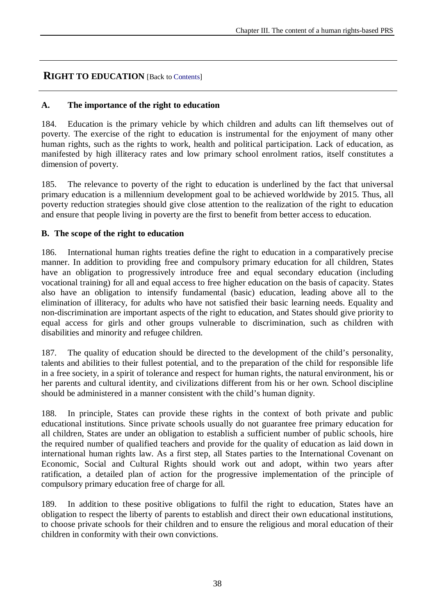## **RIGHT TO EDUCATION** [Back to Contents]

#### **A. The importance of the right to education**

184. Education is the primary vehicle by which children and adults can lift themselves out of poverty. The exercise of the right to education is instrumental for the enjoyment of many other human rights, such as the rights to work, health and political participation. Lack of education, as manifested by high illiteracy rates and low primary school enrolment ratios, itself constitutes a dimension of poverty.

185. The relevance to poverty of the right to education is underlined by the fact that universal primary education is a millennium development goal to be achieved worldwide by 2015. Thus, all poverty reduction strategies should give close attention to the realization of the right to education and ensure that people living in poverty are the first to benefit from better access to education.

#### **B. The scope of the right to education**

186. International human rights treaties define the right to education in a comparatively precise manner. In addition to providing free and compulsory primary education for all children, States have an obligation to progressively introduce free and equal secondary education (including vocational training) for all and equal access to free higher education on the basis of capacity. States also have an obligation to intensify fundamental (basic) education, leading above all to the elimination of illiteracy, for adults who have not satisfied their basic learning needs. Equality and non-discrimination are important aspects of the right to education, and States should give priority to equal access for girls and other groups vulnerable to discrimination, such as children with disabilities and minority and refugee children.

187. The quality of education should be directed to the development of the child's personality, talents and abilities to their fullest potential, and to the preparation of the child for responsible life in a free society, in a spirit of tolerance and respect for human rights, the natural environment, his or her parents and cultural identity, and civilizations different from his or her own. School discipline should be administered in a manner consistent with the child's human dignity.

188. In principle, States can provide these rights in the context of both private and public educational institutions. Since private schools usually do not guarantee free primary education for all children, States are under an obligation to establish a sufficient number of public schools, hire the required number of qualified teachers and provide for the quality of education as laid down in international human rights law. As a first step, all States parties to the International Covenant on Economic, Social and Cultural Rights should work out and adopt, within two years after ratification, a detailed plan of action for the progressive implementation of the principle of compulsory primary education free of charge for all.

189. In addition to these positive obligations to fulfil the right to education, States have an obligation to respect the liberty of parents to establish and direct their own educational institutions, to choose private schools for their children and to ensure the religious and moral education of their children in conformity with their own convictions.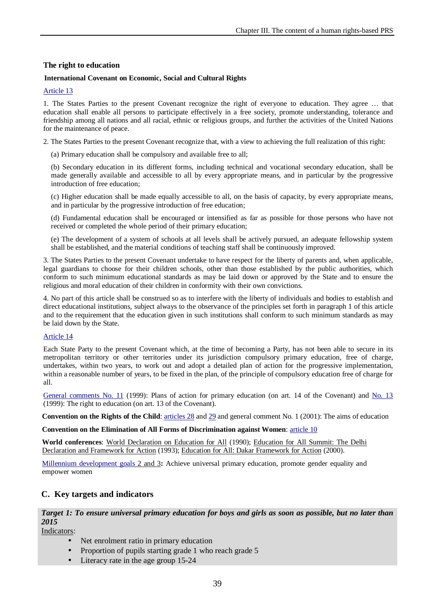#### **The right to education**

#### **International Covenant on Economic, Social and Cultural Rights**

#### Article 13

1. The States Parties to the present Covenant recognize the right of everyone to education. They agree … that education shall enable all persons to participate effectively in a free society, promote understanding, tolerance and friendship among all nations and all racial, ethnic or religious groups, and further the activities of the United Nations for the maintenance of peace.

2. The States Parties to the present Covenant recognize that, with a view to achieving the full realization of this right:

(a) Primary education shall be compulsory and available free to all;

(b) Secondary education in its different forms, including technical and vocational secondary education, shall be made generally available and accessible to all by every appropriate means, and in particular by the progressive introduction of free education;

(c) Higher education shall be made equally accessible to all, on the basis of capacity, by every appropriate means, and in particular by the progressive introduction of free education;

(d) Fundamental education shall be encouraged or intensified as far as possible for those persons who have not received or completed the whole period of their primary education;

(e) The development of a system of schools at all levels shall be actively pursued, an adequate fellowship system shall be established, and the material conditions of teaching staff shall be continuously improved.

3. The States Parties to the present Covenant undertake to have respect for the liberty of parents and, when applicable, legal guardians to choose for their children schools, other than those established by the public authorities, which conform to such minimum educational standards as may be laid down or approved by the State and to ensure the religious and moral education of their children in conformity with their own convictions.

4. No part of this article shall be construed so as to interfere with the liberty of individuals and bodies to establish and direct educational institutions, subject always to the observance of the principles set forth in paragraph 1 of this article and to the requirement that the education given in such institutions shall conform to such minimum standards as may be laid down by the State.

#### Article 14

Each State Party to the present Covenant which, at the time of becoming a Party, has not been able to secure in its metropolitan territory or other territories under its jurisdiction compulsory primary education, free of charge, undertakes, within two years, to work out and adopt a detailed plan of action for the progressive implementation, within a reasonable number of years, to be fixed in the plan, of the principle of compulsory education free of charge for all.

General comments No. 11 (1999): Plans of action for primary education (on art. 14 of the Covenant) and No. 13 (1999): The right to education (on art. 13 of the Covenant).

**Convention on the Rights of the Child**: articles 28 and 29 and general comment No. 1 (2001): The aims of education

#### **Convention on the Elimination of All Forms of Discrimination against Women**: article 10

**World conferences**: World Declaration on Education for All (1990); Education for All Summit: The Delhi Declaration and Framework for Action (1993); Education for All: Dakar Framework for Action (2000).

Millennium development goals 2 and 3**:** Achieve universal primary education, promote gender equality and empower women

#### **C. Key targets and indicators**

#### *Target 1: To ensure universal primary education for boys and girls as soon as possible, but no later than 2015*

Indicators:

- Net enrolment ratio in primary education
- Proportion of pupils starting grade 1 who reach grade 5
- Literacy rate in the age group 15-24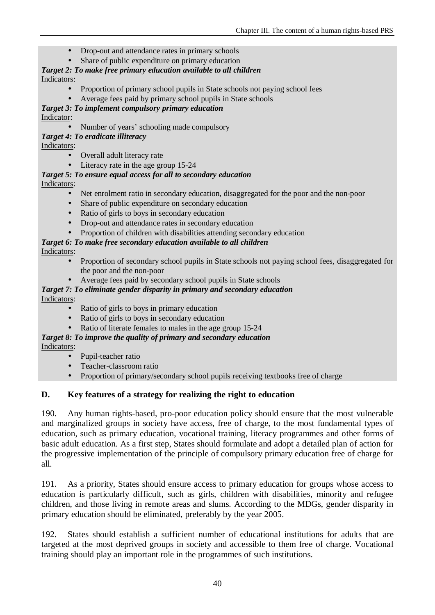- Drop-out and attendance rates in primary schools
- Share of public expenditure on primary education

## *Target 2: To make free primary education available to all children*

#### Indicators:

- Proportion of primary school pupils in State schools not paying school fees
- Average fees paid by primary school pupils in State schools

#### *Target 3: To implement compulsory primary education* Indicator:

• Number of years' schooling made compulsory

#### *Target 4: To eradicate illiteracy*

Indicators:

- Overall adult literacy rate
- Literacy rate in the age group 15-24

#### *Target 5: To ensure equal access for all to secondary education*

Indicators:

- Net enrolment ratio in secondary education, disaggregated for the poor and the non-poor
- Share of public expenditure on secondary education
- Ratio of girls to boys in secondary education
- Drop-out and attendance rates in secondary education
- Proportion of children with disabilities attending secondary education

#### *Target 6: To make free secondary education available to all children*

Indicators:

- Proportion of secondary school pupils in State schools not paying school fees, disaggregated for the poor and the non-poor
- Average fees paid by secondary school pupils in State schools

#### *Target 7: To eliminate gender disparity in primary and secondary education* Indicators:

- Ratio of girls to boys in primary education
- Ratio of girls to boys in secondary education
- Ratio of literate females to males in the age group 15-24

#### *Target 8: To improve the quality of primary and secondary education* Indicators:

- Pupil-teacher ratio
- Teacher-classroom ratio
- Proportion of primary/secondary school pupils receiving textbooks free of charge

#### **D. Key features of a strategy for realizing the right to education**

190. Any human rights-based, pro-poor education policy should ensure that the most vulnerable and marginalized groups in society have access, free of charge, to the most fundamental types of education, such as primary education, vocational training, literacy programmes and other forms of basic adult education. As a first step, States should formulate and adopt a detailed plan of action for the progressive implementation of the principle of compulsory primary education free of charge for all.

191. As a priority, States should ensure access to primary education for groups whose access to education is particularly difficult, such as girls, children with disabilities, minority and refugee children, and those living in remote areas and slums. According to the MDGs, gender disparity in primary education should be eliminated, preferably by the year 2005.

192. States should establish a sufficient number of educational institutions for adults that are targeted at the most deprived groups in society and accessible to them free of charge. Vocational training should play an important role in the programmes of such institutions.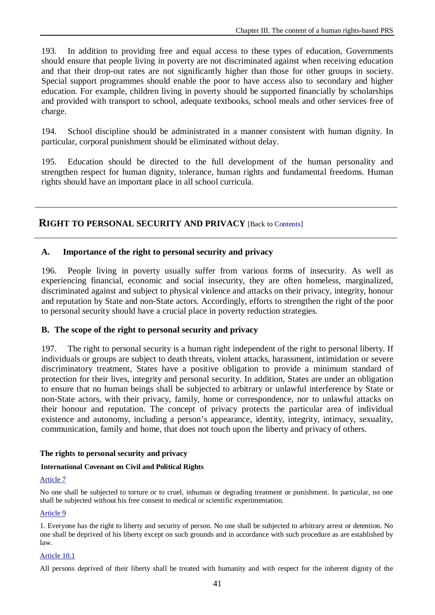193. In addition to providing free and equal access to these types of education, Governments should ensure that people living in poverty are not discriminated against when receiving education and that their drop-out rates are not significantly higher than those for other groups in society. Special support programmes should enable the poor to have access also to secondary and higher education. For example, children living in poverty should be supported financially by scholarships and provided with transport to school, adequate textbooks, school meals and other services free of charge.

194. School discipline should be administrated in a manner consistent with human dignity. In particular, corporal punishment should be eliminated without delay.

Education should be directed to the full development of the human personality and strengthen respect for human dignity, tolerance, human rights and fundamental freedoms. Human rights should have an important place in all school curricula.

#### **RIGHT TO PERSONAL SECURITY AND PRIVACY** [Back to Contents]

#### **A. Importance of the right to personal security and privacy**

196. People living in poverty usually suffer from various forms of insecurity. As well as experiencing financial, economic and social insecurity, they are often homeless, marginalized, discriminated against and subject to physical violence and attacks on their privacy, integrity, honour and reputation by State and non-State actors. Accordingly, efforts to strengthen the right of the poor to personal security should have a crucial place in poverty reduction strategies.

#### **B. The scope of the right to personal security and privacy**

197. The right to personal security is a human right independent of the right to personal liberty. If individuals or groups are subject to death threats, violent attacks, harassment, intimidation or severe discriminatory treatment, States have a positive obligation to provide a minimum standard of protection for their lives, integrity and personal security. In addition, States are under an obligation to ensure that no human beings shall be subjected to arbitrary or unlawful interference by State or non-State actors, with their privacy, family, home or correspondence, nor to unlawful attacks on their honour and reputation. The concept of privacy protects the particular area of individual existence and autonomy, including a person's appearance, identity, integrity, intimacy, sexuality, communication, family and home, that does not touch upon the liberty and privacy of others.

#### **The rights to personal security and privacy**

#### **International Covenant on Civil and Political Rights**

#### Article 7

No one shall be subjected to torture or to cruel, inhuman or degrading treatment or punishment. In particular, no one shall be subjected without his free consent to medical or scientific experimentation.

#### Article 9

1. Everyone has the right to liberty and security of person. No one shall be subjected to arbitrary arrest or detention. No one shall be deprived of his liberty except on such grounds and in accordance with such procedure as are established by law.

#### Article 10.1

All persons deprived of their liberty shall be treated with humanity and with respect for the inherent dignity of the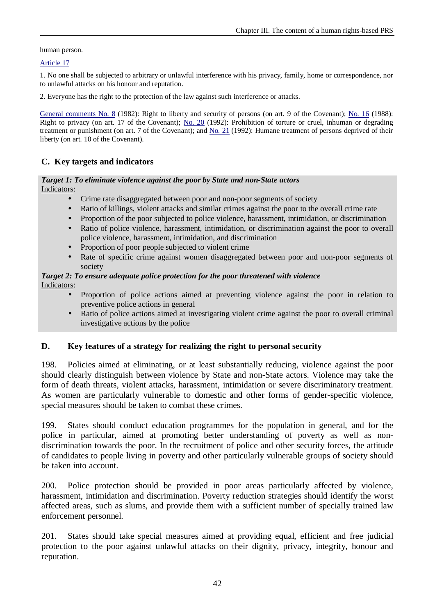human person.

Article 17

1. No one shall be subjected to arbitrary or unlawful interference with his privacy, family, home or correspondence, nor to unlawful attacks on his honour and reputation.

2. Everyone has the right to the protection of the law against such interference or attacks.

General comments No. 8 (1982): Right to liberty and security of persons (on art. 9 of the Covenant); No. 16 (1988): Right to privacy (on art. 17 of the Covenant); No. 20 (1992): Prohibition of torture or cruel, inhuman or degrading treatment or punishment (on art. 7 of the Covenant); and No. 21 (1992): Humane treatment of persons deprived of their liberty (on art. 10 of the Covenant).

#### **C. Key targets and indicators**

#### *Target 1: To eliminate violence against the poor by State and non-State actors* Indicators:

- Crime rate disaggregated between poor and non-poor segments of society
- Ratio of killings, violent attacks and similar crimes against the poor to the overall crime rate
- Proportion of the poor subjected to police violence, harassment, intimidation, or discrimination
- Ratio of police violence, harassment, intimidation, or discrimination against the poor to overall police violence, harassment, intimidation, and discrimination
- Proportion of poor people subjected to violent crime
- Rate of specific crime against women disaggregated between poor and non-poor segments of society

#### *Target 2: To ensure adequate police protection for the poor threatened with violence* Indicators:

- Proportion of police actions aimed at preventing violence against the poor in relation to preventive police actions in general
- Ratio of police actions aimed at investigating violent crime against the poor to overall criminal investigative actions by the police

#### **D. Key features of a strategy for realizing the right to personal security**

198. Policies aimed at eliminating, or at least substantially reducing, violence against the poor should clearly distinguish between violence by State and non-State actors. Violence may take the form of death threats, violent attacks, harassment, intimidation or severe discriminatory treatment. As women are particularly vulnerable to domestic and other forms of gender-specific violence, special measures should be taken to combat these crimes.

199. States should conduct education programmes for the population in general, and for the police in particular, aimed at promoting better understanding of poverty as well as nondiscrimination towards the poor. In the recruitment of police and other security forces, the attitude of candidates to people living in poverty and other particularly vulnerable groups of society should be taken into account.

200. Police protection should be provided in poor areas particularly affected by violence, harassment, intimidation and discrimination. Poverty reduction strategies should identify the worst affected areas, such as slums, and provide them with a sufficient number of specially trained law enforcement personnel.

201. States should take special measures aimed at providing equal, efficient and free judicial protection to the poor against unlawful attacks on their dignity, privacy, integrity, honour and reputation.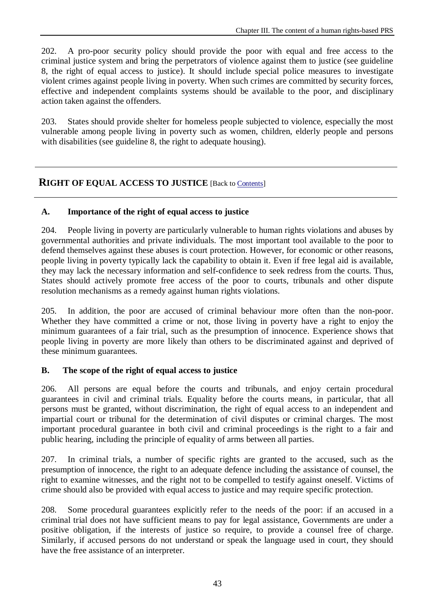202. A pro-poor security policy should provide the poor with equal and free access to the criminal justice system and bring the perpetrators of violence against them to justice (see guideline 8, the right of equal access to justice). It should include special police measures to investigate violent crimes against people living in poverty. When such crimes are committed by security forces, effective and independent complaints systems should be available to the poor, and disciplinary action taken against the offenders.

203. States should provide shelter for homeless people subjected to violence, especially the most vulnerable among people living in poverty such as women, children, elderly people and persons with disabilities (see guideline 8, the right to adequate housing).

## **RIGHT OF EQUAL ACCESS TO JUSTICE** [Back to Contents]

## **A. Importance of the right of equal access to justice**

204. People living in poverty are particularly vulnerable to human rights violations and abuses by governmental authorities and private individuals. The most important tool available to the poor to defend themselves against these abuses is court protection. However, for economic or other reasons, people living in poverty typically lack the capability to obtain it. Even if free legal aid is available, they may lack the necessary information and self-confidence to seek redress from the courts. Thus, States should actively promote free access of the poor to courts, tribunals and other dispute resolution mechanisms as a remedy against human rights violations.

205. In addition, the poor are accused of criminal behaviour more often than the non-poor. Whether they have committed a crime or not, those living in poverty have a right to enjoy the minimum guarantees of a fair trial, such as the presumption of innocence. Experience shows that people living in poverty are more likely than others to be discriminated against and deprived of these minimum guarantees.

## **B. The scope of the right of equal access to justice**

206. All persons are equal before the courts and tribunals, and enjoy certain procedural guarantees in civil and criminal trials. Equality before the courts means, in particular, that all persons must be granted, without discrimination, the right of equal access to an independent and impartial court or tribunal for the determination of civil disputes or criminal charges. The most important procedural guarantee in both civil and criminal proceedings is the right to a fair and public hearing, including the principle of equality of arms between all parties.

207. In criminal trials, a number of specific rights are granted to the accused, such as the presumption of innocence, the right to an adequate defence including the assistance of counsel, the right to examine witnesses, and the right not to be compelled to testify against oneself. Victims of crime should also be provided with equal access to justice and may require specific protection.

208. Some procedural guarantees explicitly refer to the needs of the poor: if an accused in a criminal trial does not have sufficient means to pay for legal assistance, Governments are under a positive obligation, if the interests of justice so require, to provide a counsel free of charge. Similarly, if accused persons do not understand or speak the language used in court, they should have the free assistance of an interpreter.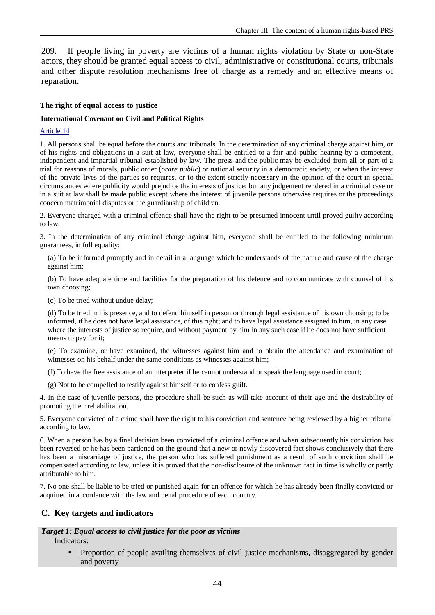209. If people living in poverty are victims of a human rights violation by State or non-State actors, they should be granted equal access to civil, administrative or constitutional courts, tribunals and other dispute resolution mechanisms free of charge as a remedy and an effective means of reparation.

#### **The right of equal access to justice**

#### **International Covenant on Civil and Political Rights**

#### Article 14

1. All persons shall be equal before the courts and tribunals. In the determination of any criminal charge against him, or of his rights and obligations in a suit at law, everyone shall be entitled to a fair and public hearing by a competent, independent and impartial tribunal established by law. The press and the public may be excluded from all or part of a trial for reasons of morals, public order (*ordre public*) or national security in a democratic society, or when the interest of the private lives of the parties so requires, or to the extent strictly necessary in the opinion of the court in special circumstances where publicity would prejudice the interests of justice; but any judgement rendered in a criminal case or in a suit at law shall be made public except where the interest of juvenile persons otherwise requires or the proceedings concern matrimonial disputes or the guardianship of children.

2. Everyone charged with a criminal offence shall have the right to be presumed innocent until proved guilty according to law.

3. In the determination of any criminal charge against him, everyone shall be entitled to the following minimum guarantees, in full equality:

(a) To be informed promptly and in detail in a language which he understands of the nature and cause of the charge against him;

(b) To have adequate time and facilities for the preparation of his defence and to communicate with counsel of his own choosing;

(c) To be tried without undue delay;

(d) To be tried in his presence, and to defend himself in person or through legal assistance of his own choosing; to be informed, if he does not have legal assistance, of this right; and to have legal assistance assigned to him, in any case where the interests of justice so require, and without payment by him in any such case if he does not have sufficient means to pay for it;

(e) To examine, or have examined, the witnesses against him and to obtain the attendance and examination of witnesses on his behalf under the same conditions as witnesses against him;

(f) To have the free assistance of an interpreter if he cannot understand or speak the language used in court;

(g) Not to be compelled to testify against himself or to confess guilt.

4. In the case of juvenile persons, the procedure shall be such as will take account of their age and the desirability of promoting their rehabilitation.

5. Everyone convicted of a crime shall have the right to his conviction and sentence being reviewed by a higher tribunal according to law.

6. When a person has by a final decision been convicted of a criminal offence and when subsequently his conviction has been reversed or he has been pardoned on the ground that a new or newly discovered fact shows conclusively that there has been a miscarriage of justice, the person who has suffered punishment as a result of such conviction shall be compensated according to law, unless it is proved that the non-disclosure of the unknown fact in time is wholly or partly attributable to him.

7. No one shall be liable to be tried or punished again for an offence for which he has already been finally convicted or acquitted in accordance with the law and penal procedure of each country.

#### **C. Key targets and indicators**

#### *Target 1: Equal access to civil justice for the poor as victims* Indicators:

• Proportion of people availing themselves of civil justice mechanisms, disaggregated by gender and poverty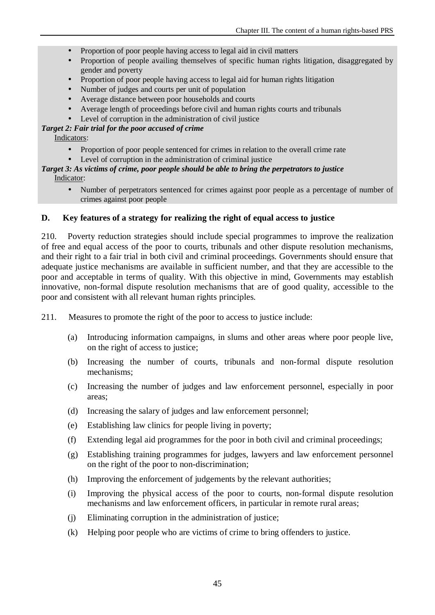- Proportion of poor people having access to legal aid in civil matters
- Proportion of people availing themselves of specific human rights litigation, disaggregated by gender and poverty
- Proportion of poor people having access to legal aid for human rights litigation
- Number of judges and courts per unit of population<br>• Average distance between poor households and cou
- Average distance between poor households and courts
- Average length of proceedings before civil and human rights courts and tribunals
- Level of corruption in the administration of civil justice

*Target 2: Fair trial for the poor accused of crime*

Indicators:

- Proportion of poor people sentenced for crimes in relation to the overall crime rate
- Level of corruption in the administration of criminal justice

*Target 3: As victims of crime, poor people should be able to bring the perpetrators to justice* Indicator:

• Number of perpetrators sentenced for crimes against poor people as a percentage of number of crimes against poor people

#### **D. Key features of a strategy for realizing the right of equal access to justice**

210. Poverty reduction strategies should include special programmes to improve the realization of free and equal access of the poor to courts, tribunals and other dispute resolution mechanisms, and their right to a fair trial in both civil and criminal proceedings. Governments should ensure that adequate justice mechanisms are available in sufficient number, and that they are accessible to the poor and acceptable in terms of quality. With this objective in mind, Governments may establish innovative, non-formal dispute resolution mechanisms that are of good quality, accessible to the poor and consistent with all relevant human rights principles.

211. Measures to promote the right of the poor to access to justice include:

- (a) Introducing information campaigns, in slums and other areas where poor people live, on the right of access to justice;
- (b) Increasing the number of courts, tribunals and non-formal dispute resolution mechanisms;
- (c) Increasing the number of judges and law enforcement personnel, especially in poor areas;
- (d) Increasing the salary of judges and law enforcement personnel;
- (e) Establishing law clinics for people living in poverty;
- (f) Extending legal aid programmes for the poor in both civil and criminal proceedings;
- (g) Establishing training programmes for judges, lawyers and law enforcement personnel on the right of the poor to non-discrimination;
- (h) Improving the enforcement of judgements by the relevant authorities;
- (i) Improving the physical access of the poor to courts, non-formal dispute resolution mechanisms and law enforcement officers, in particular in remote rural areas;
- (j) Eliminating corruption in the administration of justice;
- (k) Helping poor people who are victims of crime to bring offenders to justice.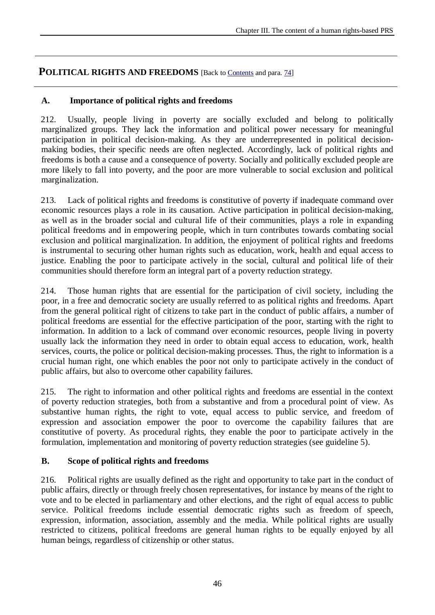## **POLITICAL RIGHTS AND FREEDOMS** [Back to Contents and para. 74]

## **A. Importance of political rights and freedoms**

212. Usually, people living in poverty are socially excluded and belong to politically marginalized groups. They lack the information and political power necessary for meaningful participation in political decision-making. As they are underrepresented in political decisionmaking bodies, their specific needs are often neglected. Accordingly, lack of political rights and freedoms is both a cause and a consequence of poverty. Socially and politically excluded people are more likely to fall into poverty, and the poor are more vulnerable to social exclusion and political marginalization.

213. Lack of political rights and freedoms is constitutive of poverty if inadequate command over economic resources plays a role in its causation. Active participation in political decision-making, as well as in the broader social and cultural life of their communities, plays a role in expanding political freedoms and in empowering people, which in turn contributes towards combating social exclusion and political marginalization. In addition, the enjoyment of political rights and freedoms is instrumental to securing other human rights such as education, work, health and equal access to justice. Enabling the poor to participate actively in the social, cultural and political life of their communities should therefore form an integral part of a poverty reduction strategy.

214. Those human rights that are essential for the participation of civil society, including the poor, in a free and democratic society are usually referred to as political rights and freedoms. Apart from the general political right of citizens to take part in the conduct of public affairs, a number of political freedoms are essential for the effective participation of the poor, starting with the right to information. In addition to a lack of command over economic resources, people living in poverty usually lack the information they need in order to obtain equal access to education, work, health services, courts, the police or political decision-making processes. Thus, the right to information is a crucial human right, one which enables the poor not only to participate actively in the conduct of public affairs, but also to overcome other capability failures.

215. The right to information and other political rights and freedoms are essential in the context of poverty reduction strategies, both from a substantive and from a procedural point of view. As substantive human rights, the right to vote, equal access to public service, and freedom of expression and association empower the poor to overcome the capability failures that are constitutive of poverty. As procedural rights, they enable the poor to participate actively in the formulation, implementation and monitoring of poverty reduction strategies (see guideline 5).

#### **B. Scope of political rights and freedoms**

216. Political rights are usually defined as the right and opportunity to take part in the conduct of public affairs, directly or through freely chosen representatives, for instance by means of the right to vote and to be elected in parliamentary and other elections, and the right of equal access to public service. Political freedoms include essential democratic rights such as freedom of speech, expression, information, association, assembly and the media. While political rights are usually restricted to citizens, political freedoms are general human rights to be equally enjoyed by all human beings, regardless of citizenship or other status.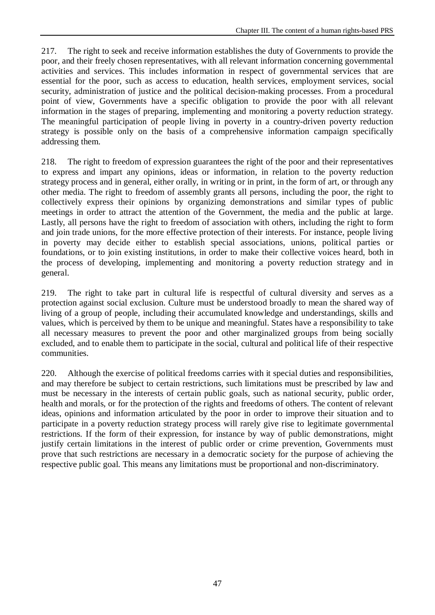217. The right to seek and receive information establishes the duty of Governments to provide the poor, and their freely chosen representatives, with all relevant information concerning governmental activities and services. This includes information in respect of governmental services that are essential for the poor, such as access to education, health services, employment services, social security, administration of justice and the political decision-making processes. From a procedural point of view, Governments have a specific obligation to provide the poor with all relevant information in the stages of preparing, implementing and monitoring a poverty reduction strategy. The meaningful participation of people living in poverty in a country-driven poverty reduction strategy is possible only on the basis of a comprehensive information campaign specifically addressing them.

218. The right to freedom of expression guarantees the right of the poor and their representatives to express and impart any opinions, ideas or information, in relation to the poverty reduction strategy process and in general, either orally, in writing or in print, in the form of art, or through any other media. The right to freedom of assembly grants all persons, including the poor, the right to collectively express their opinions by organizing demonstrations and similar types of public meetings in order to attract the attention of the Government, the media and the public at large. Lastly, all persons have the right to freedom of association with others, including the right to form and join trade unions, for the more effective protection of their interests. For instance, people living in poverty may decide either to establish special associations, unions, political parties or foundations, or to join existing institutions, in order to make their collective voices heard, both in the process of developing, implementing and monitoring a poverty reduction strategy and in general.

219. The right to take part in cultural life is respectful of cultural diversity and serves as a protection against social exclusion. Culture must be understood broadly to mean the shared way of living of a group of people, including their accumulated knowledge and understandings, skills and values, which is perceived by them to be unique and meaningful. States have a responsibility to take all necessary measures to prevent the poor and other marginalized groups from being socially excluded, and to enable them to participate in the social, cultural and political life of their respective communities.

220. Although the exercise of political freedoms carries with it special duties and responsibilities, and may therefore be subject to certain restrictions, such limitations must be prescribed by law and must be necessary in the interests of certain public goals, such as national security, public order, health and morals, or for the protection of the rights and freedoms of others. The content of relevant ideas, opinions and information articulated by the poor in order to improve their situation and to participate in a poverty reduction strategy process will rarely give rise to legitimate governmental restrictions. If the form of their expression, for instance by way of public demonstrations, might justify certain limitations in the interest of public order or crime prevention, Governments must prove that such restrictions are necessary in a democratic society for the purpose of achieving the respective public goal. This means any limitations must be proportional and non-discriminatory.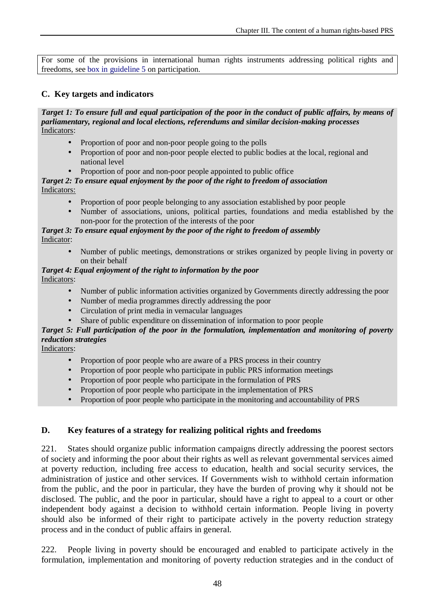For some of the provisions in international human rights instruments addressing political rights and freedoms, see box in guideline 5 on participation.

## **C. Key targets and indicators**

*Target 1: To ensure full and equal participation of the poor in the conduct of public affairs, by means of parliamentary, regional and local elections, referendums and similar decision-making processes* Indicators:

- Proportion of poor and non-poor people going to the polls
- Proportion of poor and non-poor people elected to public bodies at the local, regional and national level
- Proportion of poor and non-poor people appointed to public office

*Target 2: To ensure equal enjoyment by the poor of the right to freedom of association* Indicators:

- Proportion of poor people belonging to any association established by poor people
- Number of associations, unions, political parties, foundations and media established by the non-poor for the protection of the interests of the poor

*Target 3: To ensure equal enjoyment by the poor of the right to freedom of assembly* Indicator:

• Number of public meetings, demonstrations or strikes organized by people living in poverty or on their behalf

## *Target 4: Equal enjoyment of the right to information by the poor*

Indicators:

- Number of public information activities organized by Governments directly addressing the poor
- Number of media programmes directly addressing the poor
- Circulation of print media in vernacular languages
- Share of public expenditure on dissemination of information to poor people

#### *Target 5: Full participation of the poor in the formulation, implementation and monitoring of poverty reduction strategies*

Indicators:

- Proportion of poor people who are aware of a PRS process in their country
- Proportion of poor people who participate in public PRS information meetings
- Proportion of poor people who participate in the formulation of PRS
- Proportion of poor people who participate in the implementation of PRS
- Proportion of poor people who participate in the monitoring and accountability of PRS

#### **D. Key features of a strategy for realizing political rights and freedoms**

221. States should organize public information campaigns directly addressing the poorest sectors of society and informing the poor about their rights as well as relevant governmental services aimed at poverty reduction, including free access to education, health and social security services, the administration of justice and other services. If Governments wish to withhold certain information from the public, and the poor in particular, they have the burden of proving why it should not be disclosed. The public, and the poor in particular, should have a right to appeal to a court or other independent body against a decision to withhold certain information. People living in poverty should also be informed of their right to participate actively in the poverty reduction strategy process and in the conduct of public affairs in general.

222. People living in poverty should be encouraged and enabled to participate actively in the formulation, implementation and monitoring of poverty reduction strategies and in the conduct of